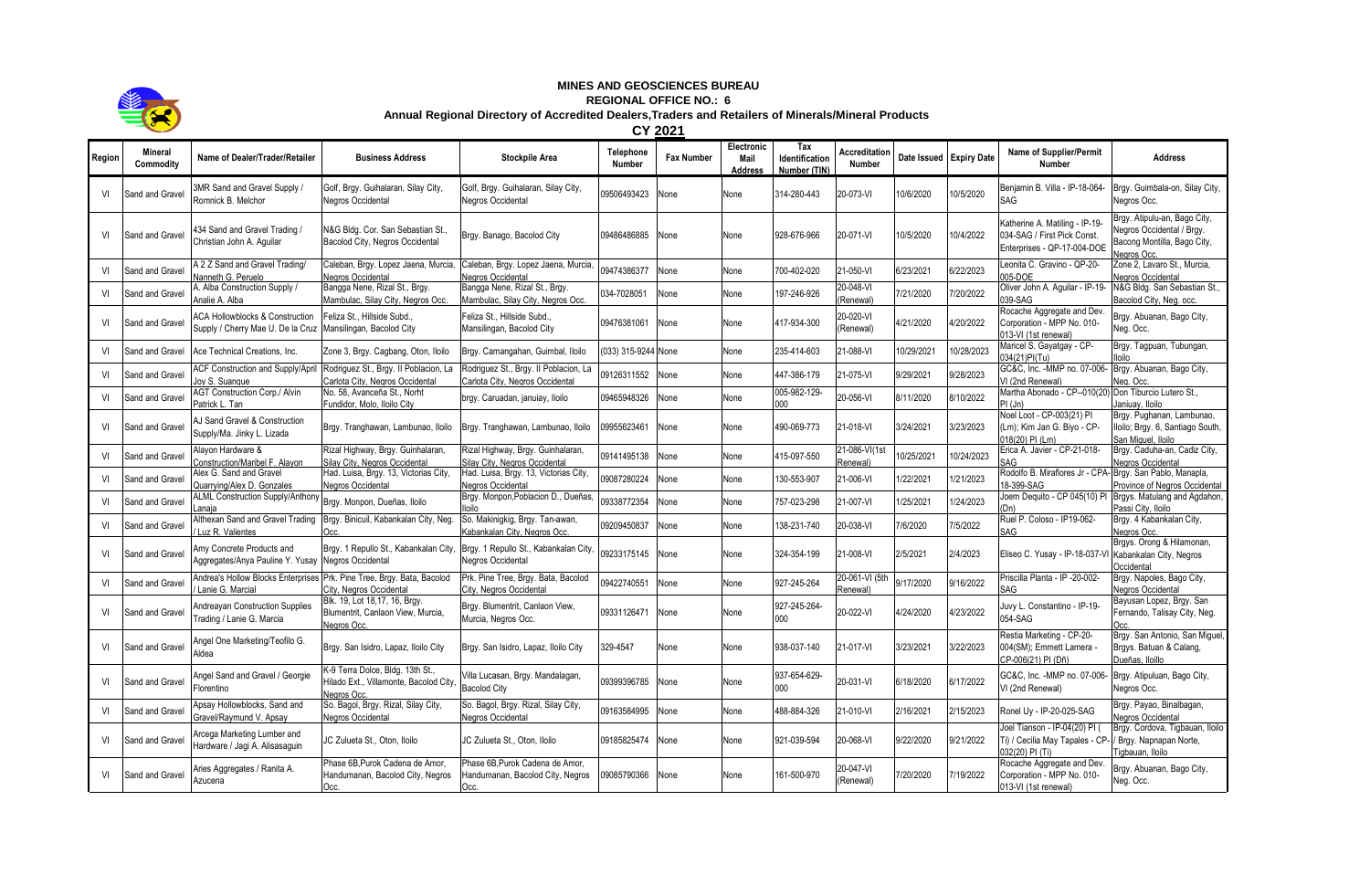

## **MINES AND GEOSCIENCES BUREAU**

## **REGIONAL OFFICE NO.: 6**

## **Annual Regional Directory of Accredited Dealers,Traders and Retailers of Minerals/Mineral Products**

**CY 2021**

| Region | <b>Mineral</b><br>Commodity | Name of Dealer/Trader/Retailer                                                  | <b>Business Address</b>                                                                          | <b>Stockpile Area</b>                                                       | Telephone<br><b>Number</b> | <b>Fax Number</b> | Electronic<br>Mail<br><b>Address</b> | Tax<br>Identification<br>Number (TIN) | Accreditation<br>Number    | Date Issued | <b>Expiry Date</b> | <b>Name of Supplier/Permit</b><br><b>Number</b>                                              | <b>Address</b>                                                                                          |
|--------|-----------------------------|---------------------------------------------------------------------------------|--------------------------------------------------------------------------------------------------|-----------------------------------------------------------------------------|----------------------------|-------------------|--------------------------------------|---------------------------------------|----------------------------|-------------|--------------------|----------------------------------------------------------------------------------------------|---------------------------------------------------------------------------------------------------------|
| VI     | Sand and Gravel             | 3MR Sand and Gravel Supply /<br>Romnick B. Melchor                              | Golf, Brgy. Guihalaran, Silay City,<br>Negros Occidental                                         | Golf, Brgy. Guihalaran, Silay City,<br>Negros Occidental                    | 09506493423                | None              | None                                 | 314-280-443                           | 20-073-VI                  | 10/6/2020   | 10/5/2020          | Benjamin B. Villa - IP-18-064-<br>SAG                                                        | Brgy. Guimbala-on, Silay City,<br>Negros Occ.                                                           |
| VI     | Sand and Grave              | 434 Sand and Gravel Trading /<br>Christian John A. Aquilar                      | N&G Bldg. Cor. San Sebastian St<br>Bacolod City, Negros Occidental                               | Brgy. Banago, Bacolod City                                                  | 09486486885                | None              | None                                 | 928-676-966                           | 20-071-VI                  | 10/5/2020   | 10/4/2022          | Katherine A. Matiling - IP-19-<br>034-SAG / First Pick Const.<br>Enterprises - QP-17-004-DOE | Brgy. Atipulu-an, Bago City,<br>Jegros Occidental / Brgy.<br>Bacong Montilla, Bago City,<br>Jearos Occ. |
| VI     | Sand and Gravel             | A 2 Z Sand and Gravel Trading/<br>Nanneth G. Peruelo                            | Caleban, Brgy. Lopez Jaena, Murcia,<br>Negros Occidental                                         | Caleban, Brgy. Lopez Jaena, Murcia,<br>Negros Occidental                    | 09474386377                | None              | None                                 | 700-402-020                           | 21-050-VI                  | 6/23/2021   | 6/22/2023          | Leonita C. Gravino - QP-20-<br>005-DOE                                                       | Zone 2, Lavaro St., Murcia,<br><b>Negros Occidental</b>                                                 |
| VI     | Sand and Grave              | A. Alba Construction Supply /<br>Analie A. Alba                                 | Bangga Nene, Rizal St., Brgy.<br>Mambulac, Silay City, Negros Occ.                               | Bangga Nene, Rizal St., Brgy.<br>Mambulac, Silay City, Negros Occ.          | 034-7028051                | None              | None                                 | 197-246-926                           | 20-048-VI<br>(Renewal)     | 7/21/2020   | 7/20/2022          | Oliver John A. Aquilar - IP-19-<br>039-SAG                                                   | N&G Bldg. San Sebastian St.,<br>Bacolod City, Neg. occ.                                                 |
| VI     | Sand and Gravel             | <b>ACA Hollowblocks &amp; Construction</b><br>Supply / Cherry Mae U. De la Cruz | Feliza St., Hillside Subd<br>Mansilingan, Bacolod City                                           | Feliza St., Hillside Subd.,<br>Mansilingan, Bacolod City                    | 09476381061                | None              | None                                 | 417-934-300                           | 20-020-VI<br>(Renewal)     | 4/21/2020   | 4/20/2022          | Rocache Aggregate and Dev.<br>Corporation - MPP No. 010-<br>013-VI (1st renewal)             | Brgy. Abuanan, Bago City,<br>Neg. Occ.                                                                  |
| VI     | Sand and Gravel             | Ace Technical Creations, Inc.                                                   | Zone 3, Brgy. Cagbang, Oton, Iloilo                                                              | Brgy. Camangahan, Guimbal, Iloilo                                           | (033) 315-9244 None        |                   | None                                 | 235-414-603                           | 21-088-VI                  | 10/29/2021  | 10/28/2023         | Maricel S. Gayatgay - CP-<br>034(21)PI(Tu)                                                   | Brgy. Tagpuan, Tubungan,<br>lloilo                                                                      |
| VI     | Sand and Gravel             | ACF Construction and Supply/April<br>Jov S. Suanque                             | Rodriguez St., Brgy. Il Poblacion, La<br>Carlota City, Negros Occidental                         | Rodriquez St., Brgy. Il Poblacion, La<br>Carlota City, Negros Occidental    | 09126311552                | None              | None                                 | 447-386-179                           | 21-075-VI                  | 9/29/2021   | 9/28/2023          | GC&C, Inc. - MMP no. 07-006-<br>VI (2nd Renewal)                                             | Brgy. Abuanan, Bago City,<br>Nea. Occ.                                                                  |
| VI     | Sand and Grave              | <b>AGT Construction Corp./ Alvin</b><br>Patrick L. Tan                          | No. 58, Avanceña St., Norht<br>Fundidor, Molo, Iloilo City                                       | brgy. Caruadan, januiay, Iloilo                                             | 09465948326                | None              | None                                 | 005-982-129-<br>000                   | 20-056-VI                  | 8/11/2020   | 8/10/2022          | Martha Abonado - CP--010(20)<br>PI(Jn)                                                       | Don Tiburcio Lutero St.,<br>Janiuav, Iloilo                                                             |
| VI     | Sand and Gravel             | AJ Sand Gravel & Construction<br>Supply/Ma. Jinky L. Lizada                     | Brgy. Tranghawan, Lambunao, Iloilo                                                               | Brgy. Tranghawan, Lambunao, Iloilo                                          | 09955623461                | None              | None                                 | 490-069-773                           | 21-018-VI                  | 3/24/2021   | 3/23/2023          | Noel Loot - CP-003(21) PI<br>(Lm); Kim Jan G. Biyo - CP-<br>018(20) PI (Lm)                  | Brgy. Pughanan, Lambunao,<br>lloilo; Brgy. 6, Santiago South,<br>San Miguel, Iloilo                     |
| VI     | Sand and Grave              | Alavon Hardware &<br>Construction/Maribel F. Alavon                             | Rizal Highway, Brgy. Guinhalaran,<br>Silay City, Negros Occidental                               | Rizal Highway, Brgy. Guinhalaran,<br>Silay City, Negros Occidental          | 09141495138                | None              | None                                 | 115-097-550                           | 21-086-VI(1st<br>Renewal)  | 0/25/2021   | 10/24/2023         | Erica A. Javier - CP-21-018-<br>SAG                                                          | Brgy. Caduha-an, Cadiz City,<br><b>Negros Occidental</b>                                                |
| VI     | Sand and Gravel             | Alex G. Sand and Gravel<br>Quarrying/Alex D. Gonzales                           | Had. Luisa, Brgy. 13, Victorias City,<br>Negros Occidental                                       | Had. Luisa, Brgy. 13, Victorias City,<br>Negros Occidental                  | 09087280224                | None              | None                                 | 130-553-907                           | 21-006-VI                  | /22/2021    | 1/21/2023          | Rodolfo B. Miraflores Jr - CPA- Brgy. San Pablo, Manapla,<br>18-399-SAG                      | Province of Negros Occidental                                                                           |
| VI     | Sand and Grave              | <b>ALML Construction Supply/Anthony</b><br>Lanaia                               | Brgy. Monpon, Dueñas, Iloilo                                                                     | Brgy. Monpon, Poblacion D., Dueñas<br>lloilo                                | 09338772354                | None              | None                                 | 757-023-298                           | 21-007-VI                  | 1/25/2021   | /24/2023           | Joem Dequito - CP 045(10) PI<br>(Dn)                                                         | Brgys. Matulang and Agdahon,<br>Passi City, Iloilo                                                      |
| VI     | Sand and Grave              | Althexan Sand and Gravel Trading<br>/ Luz R. Valientes                          | Brgy. Binicuil, Kabankalan City, Neg.                                                            | So. Makinigkig, Brgy. Tan-awan,<br>Kabankalan City, Negros Occ.             | 09209450837                | None              | None                                 | 138-231-740                           | 20-038-VI                  | 7/6/2020    | 15/2022            | Ruel P. Coloso - IP19-062-<br>SAG                                                            | Brgy. 4 Kabankalan City,<br>Negros Occ.                                                                 |
| VI     | Sand and Gravel             | Amy Concrete Products and<br>Aggregates/Anya Pauline Y. Yusay                   | Brgy. 1 Repullo St., Kabankalan City,<br>Negros Occidental                                       | Brgy. 1 Repullo St., Kabankalan City,<br>Negros Occidental                  | 09233175145                | None              | None                                 | 324-354-199                           | 21-008-VI                  | 2/5/2021    | 2/4/2023           | Eliseo C. Yusay - IP-18-037-VI                                                               | Brgys. Orong & Hilamonan,<br>Kabankalan City, Negros<br>Occidental                                      |
| VI     | Sand and Grave              | Andrea's Hollow Blocks Enterprises<br>Lanie G. Marcial                          | Prk. Pine Tree, Brgy. Bata, Bacolod<br>City, Negros Occidental                                   | Prk. Pine Tree, Brgy. Bata, Bacolod<br>City, Negros Occidental              | 09422740551                | None              | None                                 | 927-245-264                           | 20-061-VI (5th<br>Renewal) | 9/17/2020   | 9/16/2022          | Priscilla Planta - IP -20-002-<br>SAG                                                        | Brgy. Napoles, Bago City,<br><b>Negros Occidental</b>                                                   |
| VI     | Sand and Grave              | <b>Andreavan Construction Supplies</b><br>Trading / Lanie G. Marcia             | Blk. 19, Lot 18,17, 16, Brgy.<br>Blumentrit, Canlaon View, Murcia.<br><b>Negros Occ.</b>         | Brgy. Blumentrit, Canlaon View,<br>Murcia, Negros Occ.                      | 09331126471                | None              | None                                 | 927-245-264-<br>000                   | 20-022-VI                  | 4/24/2020   | 4/23/2022          | Juvy L. Constantino - IP-19-<br>054-SAG                                                      | Bayusan Lopez, Brgy. San<br>Fernando, Talisay City, Neg.                                                |
| VI     | Sand and Gravel             | Angel One Marketing/Teofilo G.<br>Aldea                                         | Brgy. San Isidro, Lapaz, Iloilo City                                                             | Brgy. San Isidro, Lapaz, Iloilo City                                        | 329-4547                   | None              | None                                 | 938-037-140                           | 21-017-VI                  | 3/23/2021   | 3/22/2023          | Restia Marketing - CP-20-<br>004(SM); Emmett Lamera -<br>CP-006(21) PI (Dñ)                  | Brgy. San Antonio, San Miguel,<br>Brgys. Batuan & Calang,<br>Dueñas, Iloillo                            |
| VI     | Sand and Grave              | Angel Sand and Gravel / Georgie<br>Florentino                                   | K-9 Terra Dolce, Bldg. 13th St.,<br>Hilado Ext., Villamonte, Bacolod City,<br><b>Nearos Occ.</b> | Villa Lucasan, Brgy. Mandalagan,<br><b>Bacolod City</b>                     | 09399396785                | None              | None                                 | 937-654-629-<br>000                   | 20-031-VI                  | 6/18/2020   | 6/17/2022          | GC&C, Inc. - MMP no. 07-006-<br>VI (2nd Renewal)                                             | Brgy. Atipuluan, Bago City,<br>Negros Occ.                                                              |
| VI     | Sand and Grave              | Apsay Hollowblocks, Sand and<br>Gravel/Ravmund V. Apsav                         | So. Bagol, Brgy. Rizal, Silay City,<br>Negros Occidental                                         | So. Bagol, Brgy. Rizal, Silay City,<br>Negros Occidental                    | 09163584995                | None              | None                                 | 488-884-326                           | 21-010-VI                  | 2/16/2021   | 2/15/2023          | Ronel Uy - IP-20-025-SAG                                                                     | Brgy. Payao, Binalbagan,<br><b>Negros Occidental</b>                                                    |
| VI     | Sand and Gravel             | Arcega Marketing Lumber and<br>Hardware / Jaqi A. Alisasaquin                   | JC Zulueta St., Oton, Iloilo                                                                     | JC Zulueta St., Oton, Iloilo                                                | 09185825474                | None              | None                                 | 921-039-594                           | 20-068-VI                  | 9/22/2020   | 9/21/2022          | Joel Tianson - IP-04(20) PI<br>Ti) / Cecilia May Tapales - CP-<br>032(20) PI (Ti)            | Brgy. Cordova, Tigbauan, Iloilo<br>Brgy. Napnapan Norte,<br>Tigbauan, Iloilo                            |
| VI     | Sand and Gravel             | Aries Aggregates / Ranita A.<br>Azucena                                         | Phase 6B, Purok Cadena de Amor,<br>Handumanan, Bacolod City, Negros<br>Occ.                      | Phase 6B, Purok Cadena de Amor,<br>Handumanan, Bacolod City, Negros<br>Occ. | 09085790366                | None              | None                                 | 161-500-970                           | 20-047-VI<br>(Renewal)     | 7/20/2020   | 7/19/2022          | Rocache Aggregate and Dev.<br>Corporation - MPP No. 010-<br>013-VI (1st renewal)             | Brgy. Abuanan, Bago City,<br>Neg. Occ.                                                                  |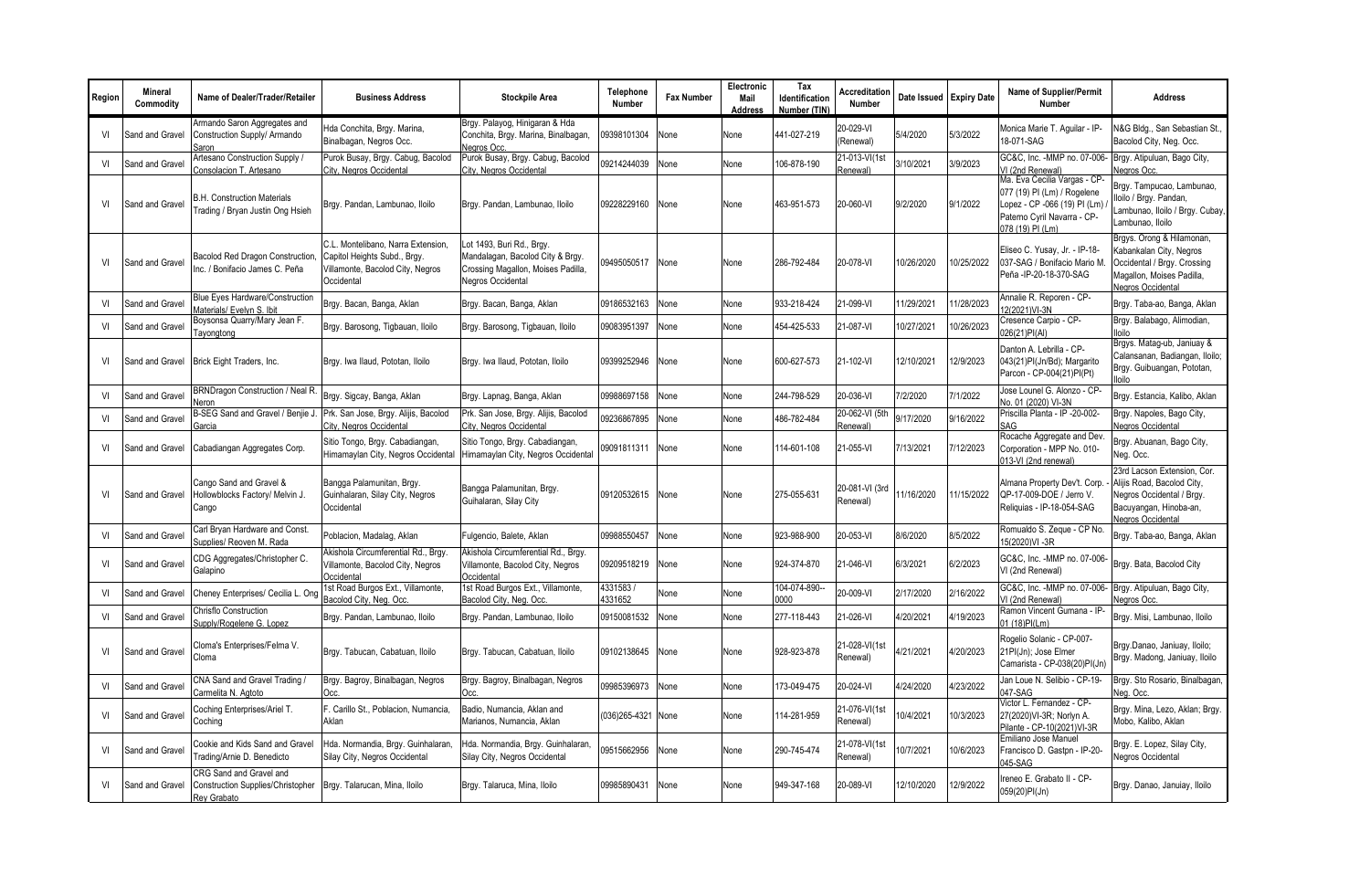| Region | <b>Mineral</b><br>Commodity | Name of Dealer/Trader/Retailer                                                     | <b>Business Address</b>                                                                                              | <b>Stockpile Area</b>                                                                                                    | Telephone<br>Number | <b>Fax Number</b> | Electronic<br>Mail<br>Address | Tax<br>Identification<br>Number (TIN) | Accreditation<br><b>Number</b> |            | Date Issued Expiry Date | <b>Name of Supplier/Permit</b><br><b>Number</b>                                                                                                | <b>Address</b>                                                                                                                        |
|--------|-----------------------------|------------------------------------------------------------------------------------|----------------------------------------------------------------------------------------------------------------------|--------------------------------------------------------------------------------------------------------------------------|---------------------|-------------------|-------------------------------|---------------------------------------|--------------------------------|------------|-------------------------|------------------------------------------------------------------------------------------------------------------------------------------------|---------------------------------------------------------------------------------------------------------------------------------------|
| VI     | Sand and Gravel             | Armando Saron Aggregates and<br>Construction Supply/ Armando<br>Saron              | Hda Conchita, Brgy. Marina,<br>Binalbagan, Negros Occ.                                                               | Brgy. Palayog, Hinigaran & Hda<br>Conchita, Brgy. Marina, Binalbagan,<br>Nearos Occ.                                     | 09398101304         | None              | None                          | 441-027-219                           | 20-029-VI<br>(Renewal)         | 5/4/2020   | 5/3/2022                | Monica Marie T. Aguilar - IP-<br>18-071-SAG                                                                                                    | V&G Bldg., San Sebastian St.,<br>Bacolod City, Neg. Occ.                                                                              |
| VI     | Sand and Gravel             | Artesano Construction Supply /<br>Consolacion T. Artesano                          | Purok Busay, Brgy. Cabug, Bacolod<br>City, Negros Occidental                                                         | Purok Busay, Brgy. Cabug, Bacolod<br>City, Negros Occidental                                                             | 09214244039         | None              | None                          | 106-878-190                           | 21-013-VI(1st<br>Renewal)      | 3/10/2021  | 3/9/2023                | GC&C, Inc. - MMP no. 07-006-<br>VI (2nd Renewal)                                                                                               | Brgy. Atipuluan, Bago City,<br>Negros Occ.                                                                                            |
| VI     | Sand and Gravel             | <b>B.H. Construction Materials</b><br>Trading / Bryan Justin Ong Hsieh             | Brgy. Pandan, Lambunao, Iloilo                                                                                       | Brgy. Pandan, Lambunao, Iloilo                                                                                           | 09228229160         | None              | None                          | 463-951-573                           | 20-060-VI                      | 9/2/2020   | 9/1/2022                | Ma. Eva Cecilia Vargas - CP-<br>077 (19) PI (Lm) / Rogelene<br>Lopez - CP -066 (19) PI (Lm)<br>Paterno Cyril Navarra - CP-<br>078 (19) PI (Lm) | Brgy. Tampucao, Lambunao,<br>Iloilo / Brgy. Pandan,<br>Lambunao, Iloilo / Brgy. Cubay,<br>Lambunao, Iloilo                            |
| VI     | Sand and Gravel             | <b>Bacolod Red Dragon Construction</b><br>Inc. / Bonifacio James C. Peña           | C.L. Montelibano. Narra Extension.<br>Capitol Heights Subd., Brgy.<br>Villamonte, Bacolod City, Negros<br>Occidental | Lot 1493, Buri Rd., Brgy.<br>Mandalagan, Bacolod City & Brgy.<br>Crossing Magallon, Moises Padilla,<br>Negros Occidental | 09495050517         | None              | None                          | 286-792-484                           | 20-078-VI                      | 10/26/2020 | 10/25/2022              | Eliseo C. Yusay, Jr. - IP-18-<br>037-SAG / Bonifacio Mario M.<br>Peña - IP-20-18-370-SAG                                                       | Brgys. Orong & Hilamonan,<br>Kabankalan City, Negros<br>Occidental / Brgy. Crossing<br>Magallon, Moises Padilla.<br>Negros Occidental |
| VI     | Sand and Gravel             | Blue Eyes Hardware/Construction<br>Materials/ Evelvn S. Ibit                       | Brgy. Bacan, Banga, Aklan                                                                                            | Brgy. Bacan, Banga, Aklan                                                                                                | 09186532163         | None              | None                          | 933-218-424                           | 21-099-VI                      | 1/29/2021  | 11/28/2023              | Annalie R. Reporen - CP-<br>2(2021)VI-3N                                                                                                       | Brgy. Taba-ao, Banga, Aklan                                                                                                           |
| VI     | Sand and Gravel             | Boysonsa Quarry/Mary Jean F.<br>Tayongtong                                         | Brgy. Barosong, Tigbauan, Iloilo                                                                                     | Brgy. Barosong, Tigbauan, Iloilo                                                                                         | 09083951397         | None              | None                          | 454-425-533                           | 21-087-VI                      | 0/27/2021  | 0/26/2023               | Cresence Carpio - CP-<br>026(21)PI(Al)                                                                                                         | Brgy. Balabago, Alimodian,<br>lloilo                                                                                                  |
| VI     | Sand and Gravel             | Brick Eight Traders, Inc.                                                          | Brgy. Iwa Ilaud, Pototan, Iloilo                                                                                     | Brgy. Iwa Ilaud, Pototan, Iloilo                                                                                         | 09399252946         | None              | None                          | 600-627-573                           | 21-102-VI                      | 12/10/2021 | 12/9/2023               | Danton A. Lebrilla - CP-<br>043(21)PI(Jn/Bd); Margarito<br>Parcon - CP-004(21)PI(Pt)                                                           | Brgys. Matag-ub, Janiuay &<br>Calansanan, Badiangan, Iloilo;<br>Brgy. Guibuangan, Pototan,                                            |
| VI     | Sand and Gravel             | BRNDragon Construction / Neal R.<br>Veron                                          | Brgy. Sigcay, Banga, Aklan                                                                                           | Brgy. Lapnag, Banga, Aklan                                                                                               | 09988697158         | None              | None                          | 244-798-529                           | 20-036-VI                      | 7/2/2020   | 7/1/2022                | Jose Lounel G. Alonzo - CP-<br>No. 01 (2020) VI-3N                                                                                             | Brgy. Estancia, Kalibo, Aklan                                                                                                         |
| VI     | Sand and Gravel             | B-SEG Sand and Gravel / Benjie J<br>Garcia                                         | Prk. San Jose, Brgy. Alijis, Bacolod<br>City, Negros Occidental                                                      | Prk. San Jose, Brgy. Alijis, Bacolod<br>City, Negros Occidental                                                          | 09236867895         | None              | None                          | 486-782-484                           | 20-062-VI (5th<br>Renewal)     | 9/17/2020  | 9/16/2022               | Priscilla Planta - IP -20-002-<br>SAG                                                                                                          | Brgy. Napoles, Bago City,<br><b>Vegros Occidental</b>                                                                                 |
| VI     | Sand and Gravel             | Cabadiangan Aggregates Corp.                                                       | Sitio Tongo, Brgy. Cabadiangan,<br>Himamaylan City, Negros Occidental                                                | Sitio Tongo, Brgy. Cabadiangan,<br>Himamaylan City, Negros Occidental                                                    | 09091811311         | None              | None                          | 114-601-108                           | 21-055-VI                      | 7/13/2021  | 7/12/2023               | Rocache Aggregate and Dev.<br>Corporation - MPP No. 010-<br>013-VI (2nd renewal)                                                               | Brgy. Abuanan, Bago City,<br>Neg. Occ.                                                                                                |
| VI     | Sand and Gravel             | Cango Sand and Gravel &<br>Hollowblocks Factory/ Melvin J.<br>Cango                | Bangga Palamunitan, Brgy.<br>Guinhalaran, Silay City, Negros<br>Occidental                                           | Bangga Palamunitan, Brgy.<br>Guihalaran, Silay City                                                                      | 09120532615         | None              | None                          | 275-055-631                           | 20-081-VI (3rd<br>Renewal)     | 11/16/2020 | 11/15/2022              | Almana Property Dev't. Corp.<br>QP-17-009-DOE / Jerro V.<br>Reliquias - IP-18-054-SAG                                                          | 23rd Lacson Extension, Cor.<br>Alijis Road, Bacolod City,<br>Negros Occidental / Brgy.<br>Bacuyangan, Hinoba-an,<br>Negros Occidental |
| VI     | Sand and Gravel             | Carl Bryan Hardware and Const.<br>Supplies/ Reoven M. Rada                         | Poblacion, Madalag, Aklan                                                                                            | Fulgencio, Balete, Aklan                                                                                                 | 09988550457         | None              | None                          | 923-988-900                           | 20-053-VI                      | 8/6/2020   | 8/5/2022                | Romualdo S. Zeque - CP No.<br>15(2020)VI-3R                                                                                                    | Brgy. Taba-ao, Banga, Aklan                                                                                                           |
| VI     | Sand and Gravel             | CDG Aggregates/Christopher C.<br>Galapino                                          | Akishola Circumferential Rd., Brgy.<br>Villamonte, Bacolod City, Negros<br>Occidental                                | Akishola Circumferential Rd., Brgy.<br>Villamonte, Bacolod City, Negros<br>Occidental                                    | 09209518219         | None              | None                          | 924-374-870                           | 21-046-VI                      | 6/3/2021   | 6/2/2023                | GC&C, Inc. - MMP no. 07-006-<br>VI (2nd Renewal)                                                                                               | Brgy. Bata, Bacolod City                                                                                                              |
| VI     | Sand and Gravel             | Cheney Enterprises/ Cecilia L. Ong                                                 | 1st Road Burgos Ext., Villamonte,<br>Bacolod City, Neg. Occ.                                                         | 1st Road Burgos Ext., Villamonte,<br>Bacolod City, Neg. Occ.                                                             | 4331583<br>4331652  | None              | None                          | 104-074-890-<br>0000                  | 20-009-VI                      | 2/17/2020  | 2/16/2022               | GC&C. Inc. - MMP no. 07-006-<br>/I (2nd Renewal)                                                                                               | Brgy. Atipuluan, Bago City,<br>legros Occ.                                                                                            |
| VI     | Sand and Gravel             | Chrisflo Construction<br>Supply/Rogelene G. Lopez                                  | Brgy. Pandan, Lambunao, Iloilo                                                                                       | Brgy. Pandan, Lambunao, Iloilo                                                                                           | 09150081532         | None              | None                          | 277-118-443                           | 21-026-VI                      | 4/20/2021  | 4/19/2023               | Ramon Vincent Gumana - IP-<br>01 (18)PI(Lm)                                                                                                    | Brgy. Misi, Lambunao, Iloilo                                                                                                          |
| VI     | Sand and Gravel             | Cloma's Enterprises/Felma V.<br>Cloma                                              | Brgy. Tabucan, Cabatuan, Iloilo                                                                                      | Brgy. Tabucan, Cabatuan, Iloilo                                                                                          | 09102138645         | None              | None                          | 928-923-878                           | 21-028-VI(1st<br>Renewal)      | 4/21/2021  | 4/20/2023               | Rogelio Solanic - CP-007-<br>21PI(Jn); Jose Elmer<br>Camarista - CP-038(20)PI(Jn)                                                              | Brgy.Danao, Janiuay, Iloilo;<br>Brgy. Madong, Janiuay, Iloilo                                                                         |
| VI     | Sand and Gravel             | CNA Sand and Gravel Trading /<br>Carmelita N. Agtoto                               | Brgy. Bagroy, Binalbagan, Negros<br>Occ                                                                              | Brgy. Bagroy, Binalbagan, Negros<br>Occ                                                                                  | 09985396973         | None              | None                          | 173-049-475                           | 20-024-VI                      | 4/24/2020  | 4/23/2022               | Jan Loue N. Selibio - CP-19-<br>047-SAG                                                                                                        | Brgy. Sto Rosario, Binalbagan,<br>Neg. Occ.                                                                                           |
| VI     | Sand and Gravel             | Coching Enterprises/Ariel T.<br>Cochina                                            | F. Carillo St., Poblacion, Numancia,<br>Aklan                                                                        | Badio, Numancia, Aklan and<br>Marianos, Numancia, Aklan                                                                  | (036)265-4321 None  |                   | None                          | 114-281-959                           | 21-076-VI(1st<br>Renewal)      | 0/4/2021   | 10/3/2023               | Victor L. Fernandez - CP-<br>27(2020) VI-3R; Norlyn A.<br>Pilante - CP-10(2021)VI-3R                                                           | Brgy. Mina, Lezo, Aklan; Brgy.<br>Mobo, Kalibo, Aklan                                                                                 |
| VI     | Sand and Gravel             | Cookie and Kids Sand and Gravel<br>Trading/Arnie D. Benedicto                      | Hda. Normandia, Brgy. Guinhalaran,<br>Silay City, Negros Occidental                                                  | Hda. Normandia, Brgy. Guinhalaran,<br>Silay City, Negros Occidental                                                      | 09515662956         | None              | None                          | 290-745-474                           | 21-078-VI(1st<br>Renewal)      | 0/7/2021   | 10/6/2023               | Emiliano Jose Manuel<br>Francisco D. Gastpn - IP-20-<br>$045-SAG$                                                                              | Brgy. E. Lopez, Silay City,<br>Negros Occidental                                                                                      |
| VI     | Sand and Gravel             | CRG Sand and Gravel and<br><b>Construction Supplies/Christopher</b><br>Rey Grabato | Brgy. Talarucan, Mina, Iloilo                                                                                        | Brgy. Talaruca, Mina, Iloilo                                                                                             | 09985890431         | None              | None                          | 949-347-168                           | 20-089-VI                      | 12/10/2020 | 12/9/2022               | Ireneo E. Grabato II - CP-<br>059(20)PI(Jn)                                                                                                    | Brgy. Danao, Januiay, Iloilo                                                                                                          |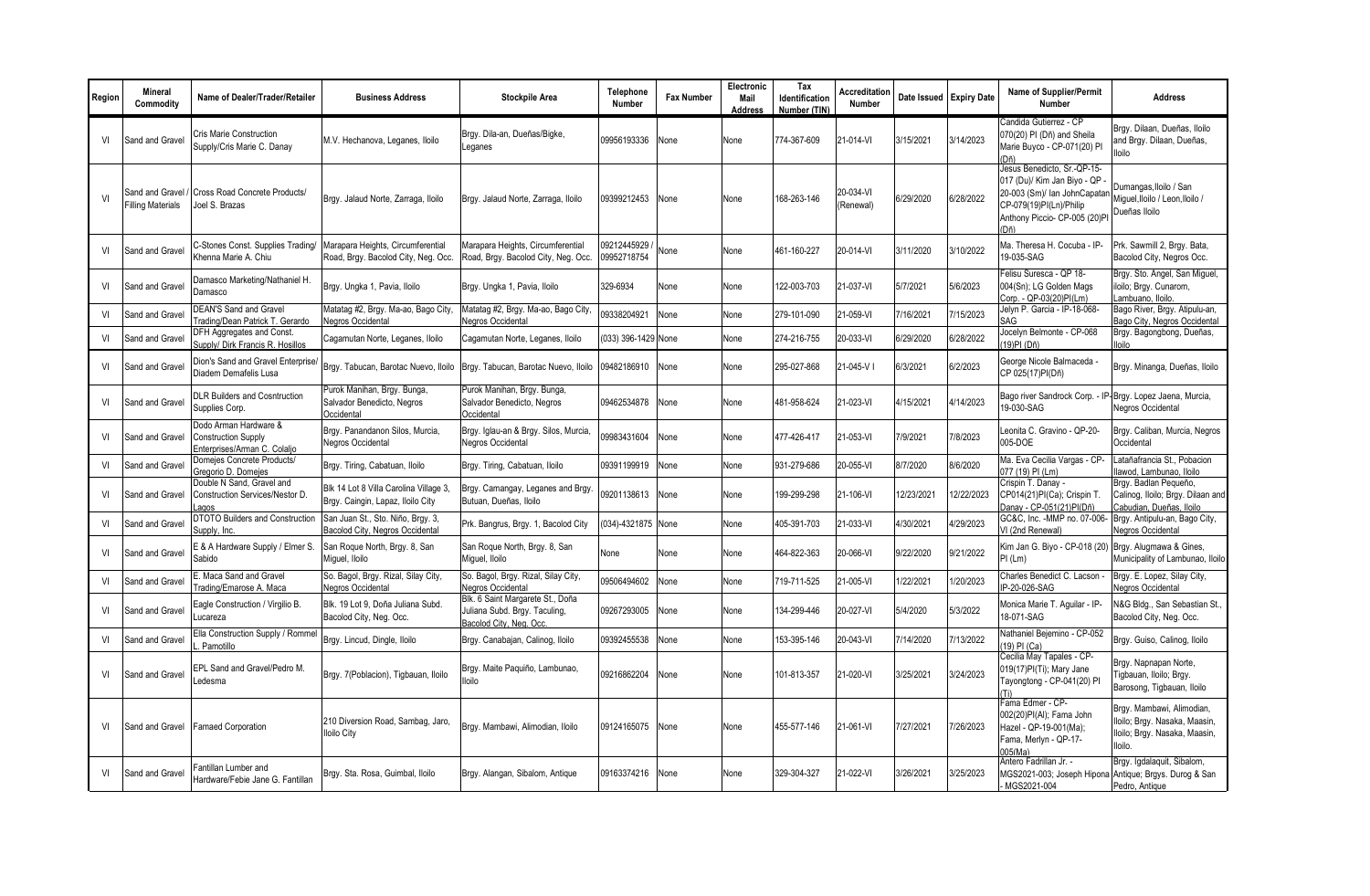| Region | <b>Mineral</b><br>Commodity          | Name of Dealer/Trader/Retailer                                                      | <b>Business Address</b>                                                     | <b>Stockpile Area</b>                                                                        | Telephone<br>Number        | <b>Fax Number</b> | Electronic<br>Mail<br><b>Address</b> | Tax<br>Identification<br>Number (TIN) | Accreditation<br><b>Number</b> | Date Issued Expiry Date |           | Name of Supplier/Permit<br>Number                                                                                                                              | <b>Address</b>                                                                                         |
|--------|--------------------------------------|-------------------------------------------------------------------------------------|-----------------------------------------------------------------------------|----------------------------------------------------------------------------------------------|----------------------------|-------------------|--------------------------------------|---------------------------------------|--------------------------------|-------------------------|-----------|----------------------------------------------------------------------------------------------------------------------------------------------------------------|--------------------------------------------------------------------------------------------------------|
| VI     | Sand and Grave                       | <b>Cris Marie Construction</b><br>Supply/Cris Marie C. Danay                        | M.V. Hechanova, Leganes, Iloilo                                             | Brgy. Dila-an, Dueñas/Bigke,<br>Leganes                                                      | 09956193336                | None              | None                                 | 774-367-609                           | 21-014-VI                      | 3/15/2021               | 3/14/2023 | Candida Gutierrez - CP<br>070(20) PI (Dñ) and Sheila<br>Marie Buyco - CP-071(20) PI<br>(Dñ)                                                                    | Brgy. Dilaan, Dueñas, Iloilo<br>and Brav. Dilaan. Dueñas.<br>lloilo                                    |
| V      | Sand and Gravel<br>Filling Materials | Cross Road Concrete Products/<br>Joel S. Brazas                                     | Brgy. Jalaud Norte, Zarraga, Iloilo                                         | Brgy. Jalaud Norte, Zarraga, Iloilo                                                          | 09399212453                | None              | None                                 | 168-263-146                           | 20-034-VI<br>(Renewal)         | 6/29/2020               | 6/28/2022 | Jesus Benedicto, Sr.-QP-15-<br>017 (Du)/ Kim Jan Biyo - QP<br>20-003 (Sm)/ Ian JohnCapatar<br>CP-079(19)PI(Ln)/Philip<br>Anthony Piccio- CP-005 (20)Pl<br>(Dñ) | Dumangas, Iloilo / San<br>Miquel, Iloilo / Leon, Iloilo /<br>Dueñas Iloilo                             |
| VI     | Sand and Gravel                      | C-Stones Const. Supplies Trading/<br>Khenna Marie A. Chiu                           | Marapara Heights, Circumferential<br>Road, Brgy. Bacolod City, Neg. Occ.    | Marapara Heights, Circumferential<br>Road, Brgy. Bacolod City, Neg. Occ.                     | 09212445929<br>09952718754 | None              | None                                 | 461-160-227                           | 20-014-VI                      | 3/11/2020               | 3/10/2022 | Ma. Theresa H. Cocuba - IP-<br>19-035-SAG                                                                                                                      | Prk. Sawmill 2, Brgy. Bata,<br>Bacolod City, Negros Occ.                                               |
| VI     | Sand and Gravel                      | Damasco Marketing/Nathaniel H.<br>Damasco                                           | Brgy. Ungka 1, Pavia, Iloilo                                                | Brgy. Ungka 1, Pavia, Iloilo                                                                 | 329-6934                   | None              | None                                 | 122-003-703                           | 21-037-VI                      | 5/7/2021                | 5/6/2023  | Felisu Suresca - QP 18-<br>004(Sn); LG Golden Mags<br>Corp. - QP-03(20)PI(Lm)                                                                                  | Brgy. Sto. Angel, San Miguel,<br>iloilo; Brgy. Cunarom,<br>ambuano, lloilo.                            |
| VI     | Sand and Grave                       | <b>DEAN'S Sand and Gravel</b><br>Trading/Dean Patrick T. Gerardo                    | Matatag #2, Brgy. Ma-ao, Bago City,<br>Negros Occidental                    | Matatag #2, Brgy. Ma-ao, Bago City,<br><b>Negros Occidental</b>                              | 09338204921                | None              | None                                 | 279-101-090                           | 21-059-VI                      | 7/16/2021               | 7/15/2023 | Jelyn P. Garcia - IP-18-068-<br>SAG                                                                                                                            | Bago River, Brgy. Atipulu-an,<br>Bago City, Negros Occidental                                          |
| VI     | Sand and Gravel                      | <b>DFH Aggregates and Const.</b><br>Supply/ Dirk Francis R. Hosillos                | Cagamutan Norte, Leganes, Iloilo                                            | Cagamutan Norte, Leganes, Iloilo                                                             | 033) 396-1429 None         |                   | None                                 | 274-216-755                           | 20-033-VI                      | 6/29/2020               | 6/28/2022 | Jocelyn Belmonte - CP-068<br>(19)PI (Dñ)                                                                                                                       | Brgy. Bagongbong, Dueñas,<br>lloilo                                                                    |
| VI     | Sand and Gravel                      | Dion's Sand and Gravel Enterprise/<br>Diadem Demafelis Lusa                         | Brgy. Tabucan, Barotac Nuevo, Iloilo                                        | Brgy. Tabucan, Barotac Nuevo, Iloilo                                                         | 09482186910                | None              | None                                 | 295-027-868                           | 21-045-VI                      | 6/3/2021                | 6/2/2023  | George Nicole Balmaceda<br>CP 025(17)PI(Dñ)                                                                                                                    | Brgy. Minanga, Dueñas, Iloilo                                                                          |
| VI     | Sand and Gravel                      | <b>DLR Builders and Cosntruction</b><br>Supplies Corp.                              | Purok Manihan, Brgy. Bunga,<br>Salvador Benedicto, Negros<br>Occidental     | Purok Manihan, Brgy. Bunga,<br>Salvador Benedicto, Negros<br>Occidental                      | 09462534878                | None              | None                                 | 481-958-624                           | 21-023-VI                      | 4/15/2021               | 4/14/2023 | Bago river Sandrock Corp. - IP<br>19-030-SAG                                                                                                                   | Brgy. Lopez Jaena, Murcia,<br>Negros Occidental                                                        |
| VI     | Sand and Gravel                      | Dodo Arman Hardware &<br><b>Construction Supply</b><br>Enterprises/Arman C. Colaljo | Brgy. Panandanon Silos, Murcia.<br><b>Negros Occidental</b>                 | Brgy. Iglau-an & Brgy. Silos, Murcia,<br>Negros Occidental                                   | 09983431604                | None              | None                                 | 477-426-417                           | 21-053-VI                      | 7/9/2021                | 7/8/2023  | Leonita C. Gravino - QP-20-<br>005-DOE                                                                                                                         | Brgy. Caliban, Murcia, Negros<br>Occidental                                                            |
| VI     | Sand and Grave                       | Domejes Concrete Products/<br>Gregorio D. Domejes                                   | Brgy. Tiring, Cabatuan, Iloilo                                              | Brgy. Tiring, Cabatuan, Iloilo                                                               | 09391199919                | None              | None                                 | 931-279-686                           | 20-055-VI                      | 8/7/2020                | 8/6/2020  | Ma. Eva Cecilia Vargas - CP-<br>077 (19) PI (Lm)                                                                                                               | Latañafrancia St., Pobacion<br>lawod, Lambunao, Iloilo                                                 |
| VI     | Sand and Gravel                      | Double N Sand, Gravel and<br>Construction Services/Nestor D.                        | Blk 14 Lot 8 Villa Carolina Village 3,<br>Brgy. Caingin, Lapaz, Iloilo City | Brgy. Camangay, Leganes and Brgy<br>Butuan, Dueñas, Iloilo                                   | 09201138613                | None              | None                                 | 199-299-298                           | 21-106-VI                      | 12/23/2021              | 2/22/2023 | Crispin T. Danay -<br>CP014(21)PI(Ca); Crispin T.<br>Danav - CP-051(21)PI(Dñ)                                                                                  | Brgy. Badlan Pequeño,<br>Calinog, Iloilo; Brgy. Dilaan and<br>Cabudian, Dueñas, Iloilo                 |
| VI     | Sand and Gravel                      | <b>DTOTO Builders and Construction</b><br>Supply, Inc.                              | San Juan St., Sto. Niño, Brgy. 3,<br>Bacolod City, Negros Occidental        | Prk. Bangrus, Brgy, 1, Bacolod City                                                          | (034)-4321875 None         |                   | None                                 | 405-391-703                           | 21-033-VI                      | 4/30/2021               | 1/29/2023 | GC&C, Inc. - MMP no. 07-006-<br>VI (2nd Renewal)                                                                                                               | Brgy. Antipulu-an, Bago City,<br>Negros Occidental                                                     |
| VI     | Sand and Gravel                      | E & A Hardware Supply / Elmer S.<br>Sabido                                          | San Roque North, Brgy. 8, San<br>Miguel, Iloilo                             | San Roque North, Brgy. 8, San<br>Miquel, Iloilo                                              | None                       | None              | None                                 | 464-822-363                           | 20-066-VI                      | 9/22/2020               | 9/21/2022 | Kim Jan G. Biyo - CP-018 (20)<br>PI (Lm)                                                                                                                       | Brgy. Alugmawa & Gines,<br>Municipality of Lambunao, Iloilo                                            |
| VI     | Sand and Gravel                      | E. Maca Sand and Gravel<br>Trading/Emarose A. Maca                                  | So. Bagol, Brgy. Rizal, Silay City,<br>Negros Occidental                    | So. Bagol, Brgy. Rizal, Silay City,<br>Negros Occidental                                     | 09506494602                | None              | None                                 | 719-711-525                           | 21-005-VI                      | 1/22/2021               | /20/2023  | Charles Benedict C. Lacson -<br>IP-20-026-SAG                                                                                                                  | Brgy. E. Lopez, Silay City,<br>Negros Occidental                                                       |
| VI     | Sand and Grave                       | Eagle Construction / Virgilio B.<br>Lucareza                                        | Blk. 19 Lot 9, Doña Juliana Subd.<br>Bacolod City, Neq. Occ.                | Blk. 6 Saint Margarete St., Doña<br>Juliana Subd. Brgy. Taculing,<br>Bacolod City, Neg. Occ. | 09267293005                | None              | None                                 | 134-299-446                           | 20-027-VI                      | 5/4/2020                | 5/3/2022  | Monica Marie T. Aquilar - IP-<br>18-071-SAG                                                                                                                    | N&G Bldg., San Sebastian St.,<br>Bacolod City, Neg. Occ.                                               |
| VI     | Sand and Gravel                      | Ella Construction Supply / Rommel<br>Pamotillo                                      | Brgy. Lincud, Dingle, Iloilo                                                | Brgy. Canabajan, Calinog, Iloilo                                                             | 09392455538                | None              | None                                 | 153-395-146                           | 20-043-VI                      | 7/14/2020               | 7/13/2022 | Nathaniel Bejemino - CP-052<br>(19) PI (Ca)                                                                                                                    | Brgy. Guiso, Calinog, Iloilo                                                                           |
| VI     | Sand and Gravel                      | EPL Sand and Gravel/Pedro M.<br>Ledesma                                             | Brgy. 7(Poblacion), Tigbauan, Iloilo                                        | Brgy. Maite Paquiño, Lambunao,<br><b>Iloilo</b>                                              | 09216862204                | None              | None                                 | 101-813-357                           | 21-020-VI                      | 3/25/2021               | 3/24/2023 | Cecilia May Tapales - CP-<br>019(17)PI(Ti); Mary Jane<br>Tayongtong - CP-041(20) PI<br>(Ti)                                                                    | Brgy. Napnapan Norte,<br>Tigbauan, Iloilo; Brgy.<br>Barosong, Tigbauan, Iloilo                         |
| VI     |                                      | Sand and Gravel   Famaed Corporation                                                | 210 Diversion Road, Sambag, Jaro,<br>lloilo City                            | Brgy. Mambawi, Alimodian, Iloilo                                                             | 09124165075                | None              | None                                 | 455-577-146                           | 21-061-VI                      | 7/27/2021               | 7/26/2023 | Fama Edmer - CP-<br>002(20)PI(AI): Fama John<br>Hazel - QP-19-001(Ma);<br>Fama, Merlyn - QP-17-<br>005(Ma)                                                     | Brgy. Mambawi, Alimodian,<br>Iloilo; Brgy. Nasaka, Maasin,<br>Iloilo; Brgy. Nasaka, Maasin,<br>lloilo. |
| VI     | Sand and Gravel                      | Fantillan Lumber and<br>Hardware/Febie Jane G. Fantillan                            | Brgy. Sta. Rosa, Guimbal, Iloilo                                            | Brgy. Alangan, Sibalom, Antique                                                              | 09163374216                | None              | None                                 | 329-304-327                           | 21-022-VI                      | 3/26/2021               | 3/25/2023 | Antero Fadrillan Jr. -<br>MGS2021-003; Joseph Hipona<br>MGS2021-004                                                                                            | Brgy. Igdalaquit, Sibalom,<br>Antique; Brgys. Durog & San<br>Pedro, Antique                            |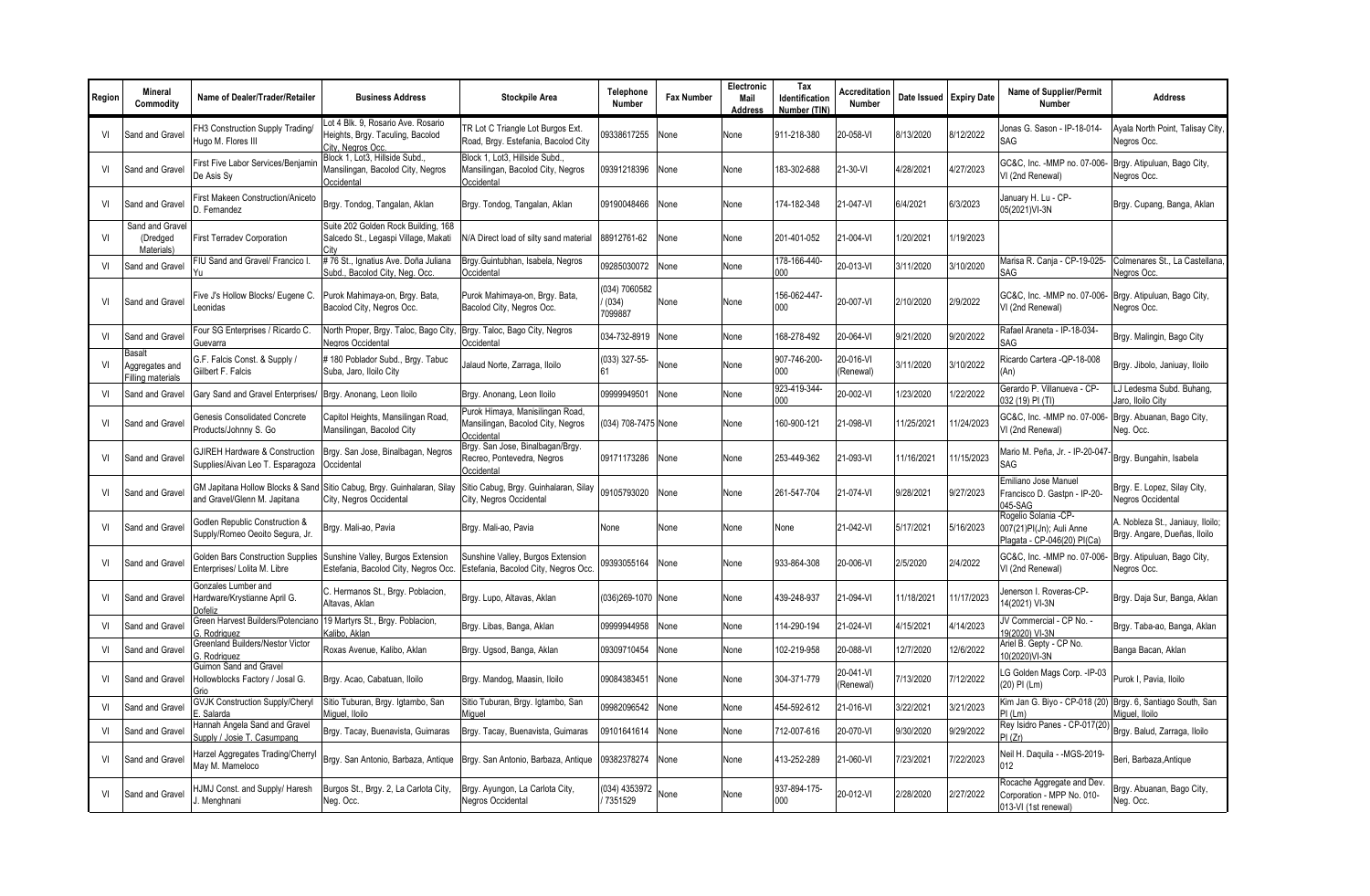| Region | <b>Mineral</b><br>Commodity                          | Name of Dealer/Trader/Retailer                                     | <b>Business Address</b>                                                                     | <b>Stockpile Area</b>                                                               | Telephone<br><b>Number</b>        | <b>Fax Number</b> | Electronic<br>Mail<br>Address | Tax<br><b>Identification</b><br>Number (TIN) | <b>Accreditation</b><br><b>Number</b> |            | Date Issued Expiry Date | <b>Name of Supplier/Permit</b><br><b>Number</b>                                  | Address                                                          |
|--------|------------------------------------------------------|--------------------------------------------------------------------|---------------------------------------------------------------------------------------------|-------------------------------------------------------------------------------------|-----------------------------------|-------------------|-------------------------------|----------------------------------------------|---------------------------------------|------------|-------------------------|----------------------------------------------------------------------------------|------------------------------------------------------------------|
| VI     | Sand and Gravel                                      | FH3 Construction Supply Trading/<br>Hugo M. Flores III             | Lot 4 Blk. 9, Rosario Ave. Rosario<br>Heights, Brgy. Taculing, Bacolod<br>City, Negros Occ. | TR Lot C Triangle Lot Burgos Ext.<br>Road, Brgy. Estefania, Bacolod City            | 09338617255                       | None              | None                          | 911-218-380                                  | 20-058-VI                             | 8/13/2020  | 8/12/2022               | Jonas G. Sason - IP-18-014-<br>SAG                                               | Ayala North Point, Talisay City,<br>Nearos Occ.                  |
| VI     | Sand and Gravel                                      | First Five Labor Services/Benjamir<br>De Asis Sy                   | Block 1, Lot3, Hillside Subd.,<br>Mansilingan, Bacolod City, Negros<br>Occidental           | Block 1, Lot3, Hillside Subd.,<br>Mansilingan, Bacolod City, Negros<br>Occidental   | 09391218396                       | None              | None                          | 183-302-688                                  | 21-30-VI                              | 4/28/2021  | 4/27/2023               | GC&C, Inc. - MMP no. 07-006-<br>VI (2nd Renewal)                                 | Brgy. Atipuluan, Bago City,<br>Negros Occ.                       |
| VI     | Sand and Gravel                                      | <b>First Makeen Construction/Aniceto</b><br>D. Fernandez           | Brgy. Tondog, Tangalan, Aklan                                                               | Brgy. Tondog, Tangalan, Aklan                                                       | 09190048466                       | None              | None                          | 174-182-348                                  | 21-047-VI                             | 6/4/2021   | 6/3/2023                | January H. Lu - CP-<br>05(2021)VI-3N                                             | Brgy. Cupang, Banga, Aklan                                       |
| VI     | Sand and Gravel<br>(Dredged<br>Materials)            | <b>First Terradev Corporation</b>                                  | Suite 202 Golden Rock Building, 168<br>Salcedo St., Legaspi Village, Makati                 | N/A Direct load of silty sand material                                              | 88912761-62                       | None              | None                          | 201-401-052                                  | 21-004-VI                             | 1/20/2021  | 1/19/2023               |                                                                                  |                                                                  |
| VI     | Sand and Gravel                                      | FIU Sand and Gravel/ Francico I.                                   | #76 St., Ignatius Ave. Doña Juliana<br>Subd., Bacolod City, Neq. Occ.                       | Brgy.Guintubhan, Isabela, Negros<br>Occidental                                      | 09285030072                       | Vone              | None                          | 178-166-440-<br>000                          | 20-013-VI                             | 3/11/2020  | 3/10/2020               | Marisa R. Cania - CP-19-025-<br>SAG                                              | Colmenares St., La Castellana<br>Negros Occ.                     |
| VI     | Sand and Gravel                                      | Five J's Hollow Blocks/ Eugene C.<br>eonidas                       | Purok Mahimaya-on, Brgy. Bata,<br>Bacolod City, Negros Occ.                                 | Purok Mahimaya-on, Brgy. Bata,<br>Bacolod City, Negros Occ.                         | (034) 7060582<br>(034)<br>7099887 | None              | None                          | 156-062-447<br>$000 \,$                      | 20-007-VI                             | 2/10/2020  | 2/9/2022                | GC&C. Inc. -MMP no. 07-006-<br>VI (2nd Renewal)                                  | Brgy. Atipuluan, Bago City,<br>Negros Occ.                       |
| VI     | Sand and Gravel                                      | Four SG Enterprises / Ricardo C.<br>Guevarra                       | North Proper, Brgy. Taloc, Bago City<br>Negros Occidental                                   | Brgy. Taloc, Bago City, Negros<br>Occidental                                        | 034-732-8919                      | None              | None                          | 168-278-492                                  | 20-064-VI                             | 9/21/2020  | 9/20/2022               | Rafael Araneta - IP-18-034-<br>SAG                                               | Brgy. Malingin, Bago City                                        |
| VI     | Basalt<br>Aggregates and<br><b>Filling materials</b> | G.F. Falcis Const. & Supply /<br>Giilbert F. Falcis                | #180 Poblador Subd., Brgy. Tabuc<br>Suba, Jaro, Iloilo City                                 | Jalaud Norte, Zarraga, Iloilo                                                       | (033) 327-55-<br>61               | Vone              | None                          | 907-746-200-<br>000                          | 20-016-VI<br>(Renewal)                | 3/11/2020  | 3/10/2022               | Ricardo Cartera - QP-18-008<br>(An)                                              | Brgy. Jibolo, Janiuay, Iloilo                                    |
| VI     | Sand and Gravel                                      | Gary Sand and Gravel Enterprises/                                  | Brgy. Anonang, Leon Iloilo                                                                  | Brgy. Anonang, Leon Iloilo                                                          | 09999949501                       | None              | None                          | 923-419-344-<br>200                          | 20-002-VI                             | /23/2020   | /22/2022                | Gerardo P. Villanueva - CP-<br>032 (19) PI (TI)                                  | LJ Ledesma Subd. Buhang,<br>Jaro, Iloilo Citv                    |
| VI     | Sand and Gravel                                      | Genesis Consolidated Concrete<br>Products/Johnny S. Go             | Capitol Heights, Mansilingan Road,<br>Mansilingan, Bacolod City                             | Purok Himaya, Manisilingan Road,<br>Mansilingan, Bacolod City, Negros<br>Occidental | (034) 708-7475 None               |                   | None                          | 160-900-121                                  | 21-098-VI                             | 11/25/2021 | 11/24/2023              | GC&C. Inc. - MMP no. 07-006-<br>VI (2nd Renewal)                                 | Brgy. Abuanan, Bago City,<br>Neg. Occ.                           |
| VI     | Sand and Gravel                                      | GJIREH Hardware & Construction<br>Supplies/Aivan Leo T. Esparagoza | Brgy. San Jose, Binalbagan, Negros<br>Occidental                                            | Brgy. San Jose, Binalbagan/Brgy.<br>Recreo, Pontevedra, Negros<br>Occidental        | 09171173286                       | None              | None                          | 253-449-362                                  | 21-093-VI                             | 11/16/2021 | 11/15/2023              | Mario M. Peña, Jr. - IP-20-047<br>SAG                                            | Brgy. Bungahin, Isabela                                          |
| VI     | Sand and Gravel                                      | GM Japitana Hollow Blocks & Sand<br>and Gravel/Glenn M. Japitana   | Sitio Cabug, Brgy. Guinhalaran, Silay<br>City, Negros Occidental                            | Sitio Cabug, Brgy. Guinhalaran, Silay<br>City, Negros Occidental                    | 09105793020                       | None              | None                          | 261-547-704                                  | 21-074-VI                             | 9/28/2021  | 9/27/2023               | Emiliano Jose Manuel<br>Francisco D. Gastpn - IP-20-<br>045-SAG                  | Brgy. E. Lopez, Silay City,<br>Negros Occidental                 |
| VI     | Sand and Gravel                                      | Godlen Republic Construction &<br>Supply/Romeo Oeoito Segura, Jr.  | Brgy. Mali-ao, Pavia                                                                        | Brgy. Mali-ao, Pavia                                                                | None                              | None              | None                          | None                                         | 21-042-VI                             | 5/17/2021  | 5/16/2023               | Rogelio Solania -CP-<br>007(21)PI(Jn); Auli Anne<br>Plagata - CP-046(20) PI(Ca   | A. Nobleza St., Janiauy, Iloilo;<br>Brgy. Angare, Dueñas, Iloilo |
| VI     | Sand and Gravel                                      | Golden Bars Construction Supplies<br>Enterprises/ Lolita M. Libre  | Sunshine Valley, Burgos Extension<br>Estefania, Bacolod City, Negros Occ                    | Sunshine Valley, Burgos Extension<br>Estefania, Bacolod City, Negros Occ.           | 09393055164                       | None              | None                          | 933-864-308                                  | 20-006-VI                             | 2/5/2020   | 2/4/2022                | GC&C, Inc. - MMP no. 07-006-<br>VI (2nd Renewal)                                 | Brgy. Atipuluan, Bago City,<br>Negros Occ.                       |
| VI     | Sand and Gravel                                      | Gonzales Lumber and<br>Hardware/Krystianne April G.<br>Dofeliz     | C. Hermanos St., Brgy. Poblacion,<br>Altavas, Aklan                                         | Brgy. Lupo, Altavas, Aklan                                                          | (036)269-1070 None                |                   | None                          | 439-248-937                                  | 21-094-VI                             | 11/18/2021 | 11/17/2023              | Jenerson I. Roveras-CP-<br>14(2021) VI-3N                                        | Brgy. Daja Sur, Banga, Aklan                                     |
| VI     | Sand and Gravel                                      | Green Harvest Builders/Potenciano<br>3. Rodriguez                  | 19 Martyrs St., Brgy. Poblacion,<br>Kalibo, Aklan                                           | Brgy. Libas, Banga, Aklan                                                           | 09999944958                       | None              | None                          | 14-290-194                                   | 21-024-VI                             | 4/15/2021  | 4/14/2023               | JV Commercial - CP No. -<br>19(2020) VI-3N                                       | Brgy. Taba-ao, Banga, Aklan                                      |
| VI     | Sand and Gravel                                      | Greenland Builders/Nestor Victor<br>3. Rodriauez                   | Roxas Avenue, Kalibo, Aklan                                                                 | Brgy. Ugsod, Banga, Aklan                                                           | 09309710454                       | Vone              | None                          | 102-219-958                                  | 20-088-VI                             | 2/7/2020   | 12/6/2022               | Ariel B. Gepty - CP No.<br>10(2020)VI-3N                                         | Banga Bacan, Aklan                                               |
| VI     | Sand and Gravel                                      | Guimon Sand and Gravel<br>Hollowblocks Factory / Josal G.<br>Grio  | Brgy. Acao, Cabatuan, Iloilo                                                                | Brgy. Mandog, Maasin, Iloilo                                                        | 09084383451                       | None              | None                          | 304-371-779                                  | 20-041-VI<br>(Renewal)                | 7/13/2020  | 7/12/2022               | LG Golden Mags Corp. - IP-03<br>(20) PI (Lm)                                     | Purok I. Pavia, Iloilo                                           |
| VI     | Sand and Gravel                                      | <b>GVJK Construction Supply/Cheryl</b><br>E. Salarda               | Sitio Tuburan, Brgy. Igtambo, San<br>Miguel, Iloilo                                         | Sitio Tuburan, Brgy. Igtambo, San<br>Miguel                                         | 09982096542                       | Vone              | None                          | 454-592-612                                  | 21-016-VI                             | 3/22/2021  | 3/21/2023               | Kim Jan G. Biyo - CP-018 (20) Brgy. 6, Santiago South, San<br>PI (Lm)            | Miguel, Iloilo                                                   |
| VI     | Sand and Gravel                                      | Hannah Angela Sand and Gravel<br>Supply / Josie T. Casumpang       | Brgy. Tacay, Buenavista, Guimaras                                                           | Brgy. Tacay, Buenavista, Guimaras                                                   | 09101641614                       | None              | None                          | 12-007-616                                   | 20-070-VI                             | 9/30/2020  | 9/29/2022               | Rey Isidro Panes - CP-017(20)<br>PI (Zr)                                         | Brgy. Balud, Zarraga, Iloilo                                     |
| VI     | Sand and Gravel                                      | Harzel Aggregates Trading/Cherryl<br>May M. Mameloco               | Brgy. San Antonio, Barbaza, Antique                                                         | Brgy. San Antonio, Barbaza, Antique                                                 | 09382378274                       | None              | None                          | 413-252-289                                  | 21-060-VI                             | 7/23/2021  | /22/2023                | Neil H. Daquila - - MGS-2019-<br>012                                             | Beri, Barbaza, Antique                                           |
| VI     | Sand and Gravel                                      | HJMJ Const. and Supply/ Haresh<br>Menghnani                        | Burgos St., Brgy. 2, La Carlota City,<br>Neg. Occ.                                          | Brgy. Ayungon, La Carlota City,<br>Negros Occidental                                | (034) 4353972<br>7351529          | None              | None                          | 937-894-175-<br>000                          | 20-012-VI                             | 2/28/2020  | 2/27/2022               | Rocache Aggregate and Dev.<br>Corporation - MPP No. 010-<br>013-VI (1st renewal) | Brgy. Abuanan, Bago City.<br>Neg. Occ.                           |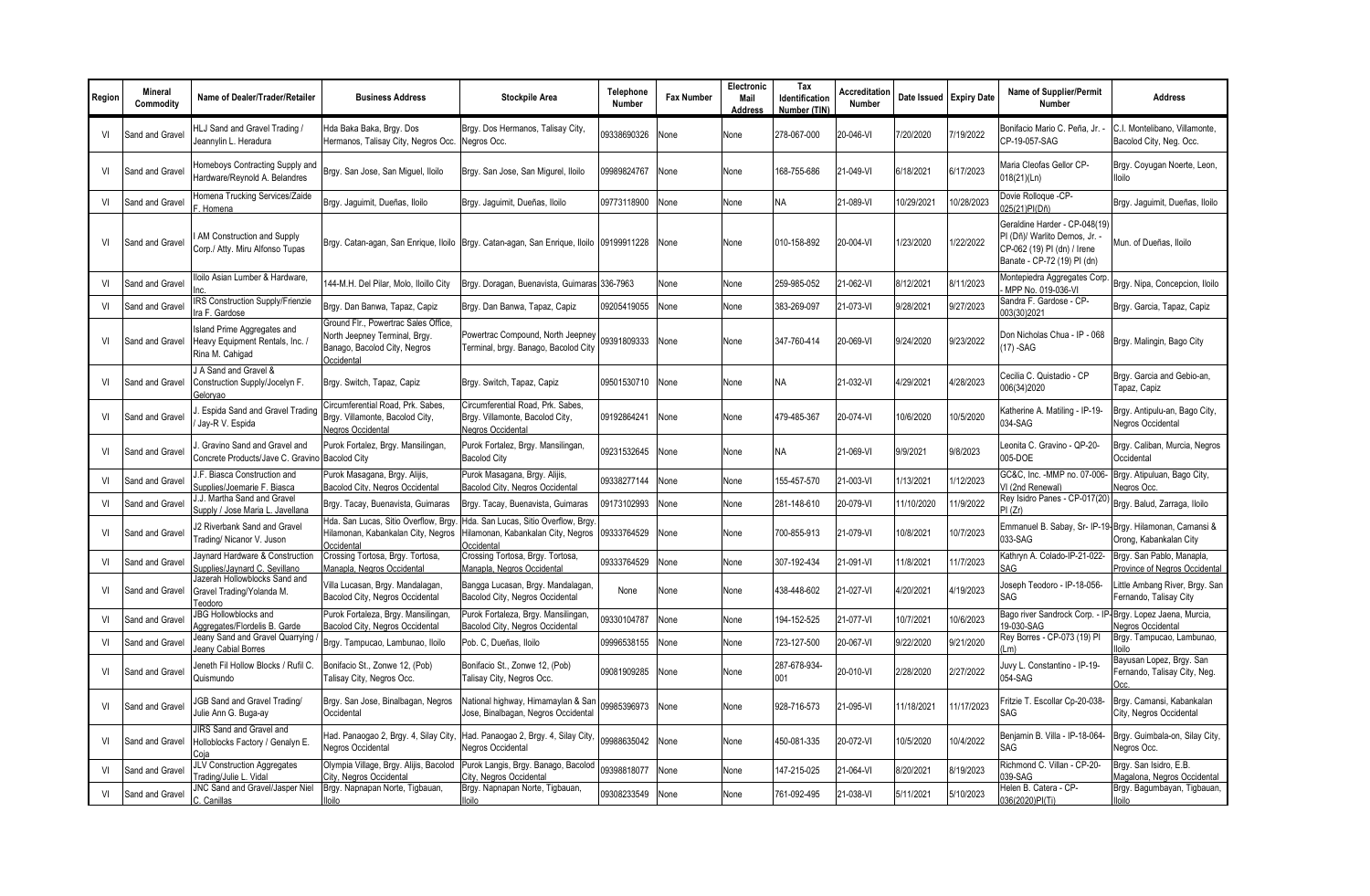| Region | Mineral<br>Commodity | Name of Dealer/Trader/Retailer                                                    | <b>Business Address</b>                                                                                             | <b>Stockpile Area</b>                                                                     | Telephone<br><b>Number</b> | <b>Fax Number</b> | Electronic<br>Mail<br>Address | Tax<br>Identification<br>Number (TIN) | Accreditation<br>Number | Date Issued Expiry Date |            | <b>Name of Supplier/Permit</b><br><b>Number</b>                                                                            | <b>Address</b>                                             |
|--------|----------------------|-----------------------------------------------------------------------------------|---------------------------------------------------------------------------------------------------------------------|-------------------------------------------------------------------------------------------|----------------------------|-------------------|-------------------------------|---------------------------------------|-------------------------|-------------------------|------------|----------------------------------------------------------------------------------------------------------------------------|------------------------------------------------------------|
| VI     | Sand and Gravel      | HLJ Sand and Gravel Trading /<br>Jeannylin L. Heradura                            | Hda Baka Baka, Brgy. Dos<br>Hermanos, Talisay City, Negros Occ.                                                     | Brgy. Dos Hermanos, Talisay City,<br>Negros Occ.                                          | 09338690326                | None              | None                          | 278-067-000                           | 20-046-VI               | 7/20/2020               | 7/19/2022  | Bonifacio Mario C. Peña. Jr. -<br>CP-19-057-SAG                                                                            | C.I. Montelibano. Villamonte.<br>Bacolod City, Neg. Occ.   |
| VI     | Sand and Gravel      | Homeboys Contracting Supply and<br>Hardware/Reynold A. Belandres                  | Brgy. San Jose, San Miguel, Iloilo                                                                                  | Brgy. San Jose, San Migurel, Iloilo                                                       | 09989824767                | None              | None                          | 168-755-686                           | 21-049-VI               | 6/18/2021               | 6/17/2023  | Maria Cleofas Gellor CP-<br>018(21)(Ln)                                                                                    | Brgy. Coyugan Noerte, Leon,<br>lloilo                      |
| VI     | Sand and Gravel      | Homena Trucking Services/Zaide<br>F. Homena                                       | Brgy. Jaguimit, Dueñas, Iloilo                                                                                      | Brgy. Jaguimit, Dueñas, Iloilo                                                            | 09773118900                | None              | None                          | <b>NA</b>                             | 21-089-VI               | 10/29/2021              | 10/28/2023 | Dovie Rolloque -CP-<br>025(21)PI(Dñ)                                                                                       | Brgy. Jaguimit, Dueñas, Iloilo                             |
| VI     | Sand and Grave       | AM Construction and Supply<br>Corp./ Atty. Miru Alfonso Tupas                     | Brgy. Catan-agan, San Enrigue, Iloilo                                                                               | Brgy. Catan-agan, San Enrique, Iloilo 09199911228                                         |                            | None              | None                          | 010-158-892                           | 20-004-VI               | 1/23/2020               | 1/22/2022  | Geraldine Harder - CP-048(19)<br>PI (Dñ)/ Warlito Demos, Jr.<br>CP-062 (19) PI (dn) / Irene<br>Banate - CP-72 (19) PI (dn) | Mun. of Dueñas, Iloilo                                     |
| VI     | Sand and Gravel      | Iloilo Asian Lumber & Hardware.                                                   | 144-M.H. Del Pilar, Molo, Iloillo City                                                                              | Brgy. Doragan, Buenavista, Guimaras 336-7963                                              |                            | None              | None                          | 259-985-052                           | 21-062-VI               | 8/12/2021               | 8/11/2023  | Montepiedra Aggregates Corp<br>MPP No. 019-036-VI                                                                          | Brgy. Nipa, Concepcion, Iloilo                             |
| VI     | Sand and Gravel      | IRS Construction Supply/Frienzie<br>Ira F. Gardose                                | Brgy. Dan Banwa, Tapaz, Capiz                                                                                       | Brgy. Dan Banwa, Tapaz, Capiz                                                             | 09205419055                | None              | None                          | 383-269-097                           | 21-073-VI               | 9/28/2021               | 9/27/2023  | Sandra F. Gardose - CP-<br>003(30)2021                                                                                     | Brgy. Garcia, Tapaz, Capiz                                 |
| VI     | Sand and Gravel      | Island Prime Aggregates and<br>Heavy Equipment Rentals, Inc. /<br>Rina M. Cahigad | Ground Flr., Powertrac Sales Office,<br>North Jeepney Terminal, Brgy.<br>Banago, Bacolod City, Negros<br>Occidental | Powertrac Compound, North Jeepney<br>Terminal, brgy. Banago, Bacolod City                 | 09391809333                | None              | None                          | 347-760-414                           | 20-069-VI               | 9/24/2020               | 9/23/2022  | Don Nicholas Chua - IP - 068<br>$(17)$ -SAG                                                                                | Brgy. Malingin, Bago City                                  |
| VI     | Sand and Gravel      | J A Sand and Gravel &<br>Construction Supply/Jocelyn F.<br>Gelorvao               | Brgy. Switch, Tapaz, Capiz                                                                                          | Brgy. Switch, Tapaz, Capiz                                                                | 09501530710                | None              | None                          | <b>NA</b>                             | 21-032-VI               | 4/29/2021               | 4/28/2023  | Cecilia C. Quistadio - CP<br>006(34)2020                                                                                   | Brgy. Garcia and Gebio-an,<br>Tapaz, Capiz                 |
| VI     | Sand and Gravel      | Espida Sand and Gravel Trading<br>Jav-R V. Espida                                 | Circumferential Road, Prk. Sabes,<br>Brgy. Villamonte, Bacolod City,<br>Negros Occidental                           | Circumferential Road, Prk. Sabes,<br>Brgy. Villamonte, Bacolod City,<br>Negros Occidental | 09192864241                | None              | None                          | 479-485-367                           | 20-074-VI               | 10/6/2020               | 10/5/2020  | Katherine A. Matiling - IP-19-<br>034-SAG                                                                                  | Brgy. Antipulu-an, Bago City,<br>Negros Occidental         |
| VI     | Sand and Gravel      | . Gravino Sand and Gravel and<br>Concrete Products/Jave C. Gravino                | Purok Fortalez, Brgy. Mansilingan,<br><b>Bacolod City</b>                                                           | Purok Fortalez, Brgy. Mansilingan,<br><b>Bacolod City</b>                                 | 09231532645                | None              | None                          | <b>NA</b>                             | 21-069-VI               | 9/9/2021                | 9/8/2023   | Leonita C. Gravino - QP-20-<br>005-DOE                                                                                     | Brgy. Caliban, Murcia, Negros<br>Occidental                |
| VI     | Sand and Gravel      | J.F. Biasca Construction and<br>Supplies/Joemarie F. Biasca                       | Purok Masagana, Brgy. Alijis,<br>Bacolod City, Negros Occidental                                                    | Purok Masagana, Brgy. Alijis,<br>Bacolod City, Negros Occidental                          | 09338277144                | None              | None                          | 155-457-570                           | 21-003-VI               | 1/13/2021               | 1/12/2023  | GC&C, Inc. - MMP no. 07-006-<br>VI (2nd Renewal)                                                                           | Brgy. Atipuluan, Bago City,<br><b>Vegros Occ.</b>          |
| VI     | Sand and Grave       | J.J. Martha Sand and Gravel<br>Supply / Jose Maria L. Javellana                   | Brgy. Tacay, Buenavista, Guimaras                                                                                   | Brgy. Tacay, Buenavista, Guimaras                                                         | 09173102993                | None              | None                          | 281-148-610                           | 20-079-VI               | 11/10/2020              | 1/9/2022   | Rey Isidro Panes - CP-017(20)<br>PI(Zr)                                                                                    | Brgy. Balud, Zarraga, Iloilo                               |
| VI     | Sand and Gravel      | J2 Riverbank Sand and Gravel<br>Trading/ Nicanor V. Juson                         | Hda. San Lucas, Sitio Overflow, Brgy<br>Hilamonan, Kabankalan City, Negros<br>Occidental                            | Hda. San Lucas, Sitio Overflow, Brgy.<br>Hilamonan, Kabankalan City, Negros<br>Occidental | 09333764529                | None              | None                          | 700-855-913                           | 21-079-VI               | 10/8/2021               | 10/7/2023  | Emmanuel B. Sabay, Sr- IP-19- Brgy. Hilamonan, Camansi &<br>033-SAG                                                        | Orong, Kabankalan City                                     |
| VI     | Sand and Grave       | Jaynard Hardware & Construction<br>Supplies/Javnard C. Sevillano                  | Crossing Tortosa, Brgy. Tortosa,<br>Manapla, Negros Occidental                                                      | Crossing Tortosa, Brgy. Tortosa,<br>Manapla, Negros Occidental                            | 09333764529                | None              | None                          | 307-192-434                           | 21-091-VI               | 11/8/2021               | 11/7/2023  | Kathryn A. Colado-IP-21-022-<br>SAG                                                                                        | Brgy. San Pablo, Manapla,<br>Province of Negros Occidental |
| VI     | Sand and Gravel      | Jazerah Hollowblocks Sand and<br>Gravel Trading/Yolanda M.<br>Teodoro             | Villa Lucasan, Brgy. Mandalagan,<br>Bacolod City, Negros Occidental                                                 | Bangga Lucasan, Brgy. Mandalagan,<br>Bacolod City, Negros Occidental                      | None                       | None              | None                          | 438-448-602                           | 21-027-VI               | 4/20/2021               | 4/19/2023  | Joseph Teodoro - IP-18-056-<br><b>SAG</b>                                                                                  | Little Ambang River, Brgy. San<br>Fernando, Talisay City   |
| VI     | Sand and Grave       | <b>JBG Hollowblocks and</b><br>Aggregates/Flordelis B. Garde                      | Purok Fortaleza, Brgy. Mansilingan,<br>Bacolod City, Negros Occidental                                              | Purok Fortaleza, Brgy. Mansilingan,<br>Bacolod City, Negros Occidenta                     | 09330104787                | None              | None                          | 194-152-525                           | 21-077-VI               | 10/7/2021               | 10/6/2023  | Bago river Sandrock Corp. - IP- Brgy. Lopez Jaena, Murcia,<br>19-030-SAG                                                   | <b>Jegros Occidental</b>                                   |
| VI     | Sand and Gravel      | Jeany Sand and Gravel Quarrying<br>leany Cabial Borres                            | Brgy. Tampucao, Lambunao, Iloilo                                                                                    | Pob. C, Dueñas, Iloilo                                                                    | 09996538155                | Vone              | None                          | 723-127-500                           | 20-067-VI               | 9/22/2020               | 9/21/2020  | Rey Borres - CP-073 (19) PI<br>(Lm)                                                                                        | Brgy. Tampucao, Lambunao,<br>lloila                        |
| VI     | Sand and Gravel      | Jeneth Fil Hollow Blocks / Rufil C.<br>Quismundo                                  | Bonifacio St., Zonwe 12, (Pob)<br>Talisay City, Negros Occ.                                                         | Bonifacio St., Zonwe 12, (Pob)<br>Talisay City, Negros Occ.                               | 09081909285                | None              | None                          | 287-678-934-<br>001                   | 20-010-VI               | 2/28/2020               | 2/27/2022  | Juvy L. Constantino - IP-19-<br>054-SAG                                                                                    | Bayusan Lopez, Brgy. San<br>Fernando, Talisay City, Neg.   |
| VI     | Sand and Gravel      | <b>JGB Sand and Gravel Trading/</b><br>Julie Ann G. Buga-ay                       | Brgy. San Jose, Binalbagan, Negros<br>Occidental                                                                    | National highway, Himamaylan & San<br>Jose, Binalbagan, Negros Occidental                 | 09985396973                | None              | None                          | 928-716-573                           | 21-095-VI               | 11/18/2021              | 11/17/2023 | Fritzie T. Escollar Cp-20-038-<br>SAG                                                                                      | Brgy. Camansi, Kabankalan<br>City, Negros Occidental       |
| VI     | Sand and Gravel      | JIRS Sand and Gravel and<br>Holloblocks Factory / Genalyn E.<br>Coja              | Had. Panaogao 2, Brgy. 4, Silay City<br>Negros Occidental                                                           | Had. Panaogao 2, Brgy. 4, Silay City,<br>Negros Occidental                                | 09988635042                | None              | None                          | 450-081-335                           | 20-072-VI               | 10/5/2020               | 10/4/2022  | Benjamin B. Villa - IP-18-064-<br>SAG                                                                                      | Brgy. Guimbala-on, Silay City,<br>Vegros Occ.              |
| VI     | Sand and Gravel      | JLV Construction Aggregates<br>Trading/Julie L. Vidal                             | Olympia Village, Brgy. Alijis, Bacolod<br>City, Negros Occidental                                                   | Purok Langis, Brgy. Banago, Bacolod<br>City, Negros Occidental                            | 09398818077                | None              | None                          | 147-215-025                           | 21-064-VI               | 8/20/2021               | 8/19/2023  | Richmond C. Villan - CP-20-<br>039-SAG                                                                                     | Brgy. San Isidro, E.B.<br>Magalona, Negros Occidental      |
| VI     | Sand and Gravel      | JNC Sand and Gravel/Jasper Niel<br>C. Canillas                                    | Brgy. Napnapan Norte, Tigbauan,<br>lloilo                                                                           | Brgy. Napnapan Norte, Tigbauan,<br>lloilo                                                 | 09308233549                | None              | None                          | 761-092-495                           | 21-038-VI               | 5/11/2021               | 5/10/2023  | Helen B. Catera - CP-<br>036(2020)PI(Ti)                                                                                   | Brgy. Bagumbayan, Tigbauan,<br>lloilo                      |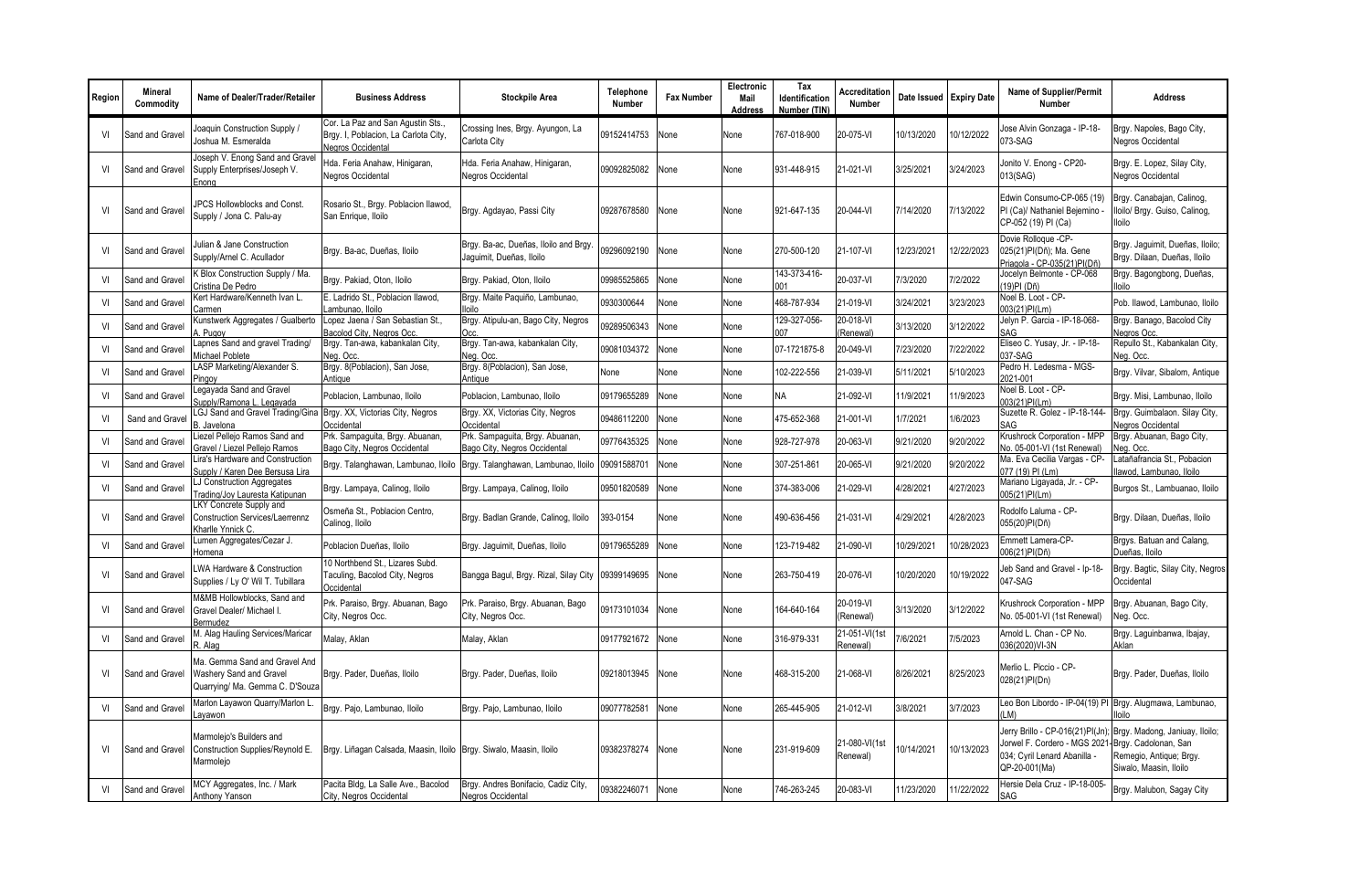| Region | Mineral<br>Commodity | Name of Dealer/Trader/Retailer                                                              | <b>Business Address</b>                                                                       | Stockpile Area                                                   | Telephone<br>Number | <b>Fax Number</b> | Electronic<br>Mail<br><b>Address</b> | Tax<br>Identification<br>Number (TIN) | Accreditation<br>Number   | Date Issued Expiry Date |            | Name of Supplier/Permit<br><b>Number</b>                                                                         | <b>Address</b>                                                                                              |
|--------|----------------------|---------------------------------------------------------------------------------------------|-----------------------------------------------------------------------------------------------|------------------------------------------------------------------|---------------------|-------------------|--------------------------------------|---------------------------------------|---------------------------|-------------------------|------------|------------------------------------------------------------------------------------------------------------------|-------------------------------------------------------------------------------------------------------------|
| VI     | Sand and Gravel      | loaquin Construction Supply /<br>loshua M. Esmeralda                                        | Cor. La Paz and San Agustin Sts.<br>Brgy. I, Poblacion, La Carlota City,<br>Negros Occidental | Crossing Ines, Brgy. Ayungon, La<br>Carlota City                 | 09152414753         | None              | None                                 | 767-018-900                           | 20-075-VI                 | 10/13/2020              | 10/12/2022 | Jose Alvin Gonzaga - IP-18-<br>073-SAG                                                                           | Brgy. Napoles, Bago City,<br>Negros Occidental                                                              |
| VI     | Sand and Gravel      | Joseph V. Enong Sand and Gravel<br>Supply Enterprises/Joseph V.<br>Enona                    | Hda. Feria Anahaw, Hinigaran,<br>Negros Occidental                                            | Hda. Feria Anahaw, Hinigaran,<br>Negros Occidental               | 09092825082         | None              | None                                 | 931-448-915                           | 21-021-VI                 | 3/25/2021               | 3/24/2023  | Jonito V. Enong - CP20-<br>013(SAG)                                                                              | Brgy. E. Lopez, Silay City,<br><b>Negros Occidental</b>                                                     |
| VI     | Sand and Gravel      | <b>JPCS Hollowblocks and Const.</b><br>Supply / Jona C. Palu-ay                             | Rosario St., Brgy. Poblacion Ilawod,<br>San Enrique, Iloilo                                   | Brgy. Agdayao, Passi City                                        | 09287678580         | None              | None                                 | 921-647-135                           | 20-044-VI                 | 7/14/2020               | 7/13/2022  | Edwin Consumo-CP-065 (19)<br>PI (Ca)/ Nathaniel Bejemino -<br>CP-052 (19) PI (Ca)                                | Brgy. Canabajan, Calinog,<br>lloilo/ Brgy. Guiso, Calinog,<br>lloilo                                        |
| VI     | Sand and Grave       | lulian & Jane Construction<br>Supply/Arnel C. Acullador                                     | Brgy. Ba-ac, Dueñas, Iloilo                                                                   | Brgy. Ba-ac, Dueñas, Iloilo and Brgy<br>Jaquimit, Dueñas, Iloilo | 09296092190         | None              | None                                 | 270-500-120                           | 21-107-VI                 | 12/23/2021              | 12/22/2023 | Dovie Rolloque -CP-<br>025(21)PI(Dñ); Ma. Gene<br>Priagola - CP-035(21)PI(Dñ                                     | Brgy. Jaguimit, Dueñas, Iloilo;<br>Brgy. Dilaan, Dueñas, Iloilo                                             |
| VI     | Sand and Grave       | <b>Silox Construction Supply / Ma.</b><br>Cristina De Pedro                                 | Brgy. Pakiad, Oton, Iloilo                                                                    | Brgy. Pakiad, Oton, Iloilo                                       | 09985525865         | None              | None                                 | 143-373-416-<br>001                   | 20-037-VI                 | 7/3/2020                | 7/2/2022   | Jocelyn Belmonte - CP-068<br>(19)PI (Dñ)                                                                         | Brgy. Bagongbong, Dueñas,<br>lloilo                                                                         |
| VI     | Sand and Gravel      | Kert Hardware/Kenneth Ivan L.<br>Carmen:                                                    | E. Ladrido St., Poblacion Ilawod,<br>Lambunao, Iloilo                                         | Brgy. Maite Paquiño, Lambunao,<br>lloilo                         | 0930300644          | None              | None                                 | 468-787-934                           | 21-019-VI                 | 3/24/2021               | 3/23/2023  | Noel B. Loot - CP-<br>003(21)PI(Lm)                                                                              | Pob. Ilawod, Lambunao, Iloilo                                                                               |
| VI     | Sand and Grave       | Kunstwerk Aggregates / Gualberto<br>Pugoy                                                   | Lopez Jaena / San Sebastian St.<br>Bacolod City, Negros Occ.                                  | Brgy. Atipulu-an, Bago City, Negros<br>Occ                       | 09289506343         | None              | None                                 | 129-327-056-<br>007                   | 20-018-VI<br>(Renewal)    | 3/13/2020               | 3/12/2022  | Jelyn P. Garcia - IP-18-068-<br>SAG                                                                              | Brgy. Banago, Bacolod City<br>Jegros Occ                                                                    |
| VI     | Sand and Grave       | Lapnes Sand and gravel Trading/<br>Michael Poblete                                          | Brgy. Tan-awa, kabankalan City,<br>Nea. Occ                                                   | Brgy. Tan-awa, kabankalan City,<br>Neg. Occ                      | 09081034372         | Vone              | None                                 | 07-1721875-8                          | 20-049-VI                 | 7/23/2020               | //22/2022  | Eliseo C. Yusay, Jr. - IP-18-<br>037-SAG                                                                         | Repullo St., Kabankalan City,<br>Neg. Occ.                                                                  |
| VI     | Sand and Gravel      | LASP Marketing/Alexander S.<br>Pingoy                                                       | Brgy. 8(Poblacion), San Jose,<br>Antique                                                      | Brgy. 8(Poblacion), San Jose,<br>Antique                         | None                | None              | None                                 | 102-222-556                           | 21-039-VI                 | 5/11/2021               | 5/10/2023  | Pedro H. Ledesma - MGS-<br>2021-001                                                                              | Brgy. Vilvar, Sibalom, Antique                                                                              |
| VI     | Sand and Grave       | Legayada Sand and Gravel<br>Supply/Ramona L. Legayada                                       | Poblacion, Lambunao, Iloilo                                                                   | Poblacion, Lambunao, Iloilo                                      | 09179655289         | None              | None                                 | <b>NA</b>                             | 21-092-VI                 | 11/9/2021               | 11/9/2023  | Noel B. Loot - CP-<br>003(21)PI(Lm)                                                                              | Brgy. Misi, Lambunao, Iloilo                                                                                |
| VI     | Sand and Grave       | <b>GJ Sand and Gravel Trading/Gina</b><br>. Javelona                                        | Brgy. XX, Victorias City, Negros<br>Occidental                                                | Brgy. XX, Victorias City, Negros<br>Occidental                   | 09486112200         | None              | None                                 | 475-652-368                           | 21-001-VI                 | 1/7/2021                | 1/6/2023   | Suzette R. Golez - IP-18-144-<br>SAG                                                                             | Brgy. Guimbalaon. Silay City,<br><b>Jegros Occidental</b>                                                   |
| VI     | Sand and Grave       | Liezel Pellejo Ramos Sand and<br>Gravel / Liezel Pellejo Ramos                              | Prk. Sampaguita, Brgy. Abuanan,<br>Bago City, Negros Occidental                               | Prk. Sampaguita, Brgy. Abuanan,<br>Bago City, Negros Occidental  | 09776435325         | None              | None                                 | 928-727-978                           | 20-063-VI                 | 9/21/2020               | 9/20/2022  | Krushrock Corporation - MPP<br>No. 05-001-VI (1st Renewal)                                                       | Brgy. Abuanan, Bago City,<br>leg. Occ.                                                                      |
| VI     | Sand and Grave       | Lira's Hardware and Construction<br>Supply / Karen Dee Bersusa Lira                         | Brgy. Talanghawan, Lambunao, Iloilo                                                           | Brgy. Talanghawan, Lambunao, Iloilo                              | 09091588701         | Vone              | None                                 | 307-251-861                           | 20-065-VI                 | 9/21/2020               | 9/20/2022  | Ma. Eva Cecilia Vargas - CP-<br>077 (19) PI (Lm)                                                                 | atañafrancia St., Pobacion<br>llawod, Lambunao, Iloilo                                                      |
| VI     | Sand and Grave       | LJ Construction Aggregates<br>Frading/Joy Lauresta Katipunan                                | Brgy. Lampaya, Calinog, Iloilo                                                                | Brgy. Lampaya, Calinog, Iloilo                                   | 09501820589         | None              | None                                 | 374-383-006                           | 21-029-VI                 | 4/28/2021               | 4/27/2023  | Mariano Ligayada, Jr. - CP-<br>005(21)PI(Lm)                                                                     | Burgos St., Lambuanao, Iloilo                                                                               |
| VI     | Sand and Gravel      | LKY Concrete Supply and<br><b>Construction Services/Laerrennz</b><br>Kharlle Ynnick C.      | Osmeña St., Poblacion Centro,<br>Calinog, Iloilo                                              | Brgy. Badlan Grande, Calinog, Iloilo                             | 393-0154            | None              | None                                 | 490-636-456                           | 21-031-VI                 | 4/29/2021               | 1/28/2023  | Rodolfo Laluma - CP-<br>055(20)PI(Dñ)                                                                            | Brgy. Dilaan, Dueñas, Iloilo                                                                                |
| VI     | Sand and Grave       | Lumen Aggregates/Cezar J.<br>Homena                                                         | Poblacion Dueñas, Iloilo                                                                      | Brgy. Jaguimit, Dueñas, Iloilo                                   | 09179655289         | None              | None                                 | 123-719-482                           | 21-090-VI                 | 10/29/2021              | 10/28/2023 | Emmett Lamera-CP-<br>006(21)PI(Dñ)                                                                               | Brgys. Batuan and Calang,<br>Dueñas, Iloilo                                                                 |
| VI     | Sand and Grave       | LWA Hardware & Construction<br>Supplies / Ly O' Wil T. Tubillara                            | 10 Northbend St., Lizares Subd.<br>Taculing, Bacolod City, Negros<br>Occidental               | Bangga Bagul, Brgy. Rizal, Silay City                            | 09399149695         | None              | None                                 | 263-750-419                           | 20-076-VI                 | 10/20/2020              | 10/19/2022 | Jeb Sand and Gravel - Ip-18-<br>047-SAG                                                                          | Brgy. Bagtic, Silay City, Negros<br>Occidental                                                              |
| VI     | Sand and Gravel      | M&MB Hollowblocks, Sand and<br>Gravel Dealer/ Michael I.<br>Bermudez                        | Prk. Paraiso, Brgy. Abuanan, Bago<br>City, Negros Occ.                                        | Prk. Paraiso, Brgy. Abuanan, Bago<br>City, Negros Occ.           | 09173101034         | None              | None                                 | 164-640-164                           | 20-019-VI<br>(Renewal)    | 3/13/2020               | 3/12/2022  | Krushrock Corporation - MPP<br>No. 05-001-VI (1st Renewal)                                                       | Brgy. Abuanan, Bago City,<br>Veg. Occ.                                                                      |
| VI     | Sand and Grave       | M. Alag Hauling Services/Maricar<br>Alag                                                    | Malay, Aklan                                                                                  | Malay, Aklan                                                     | 09177921672         | None              | None                                 | 316-979-331                           | 21-051-VI(1st<br>Renewal) | /6/2021                 | 7/5/2023   | Arnold L. Chan - CP No.<br>036(2020)VI-3N                                                                        | Brgy. Laguinbanwa, Ibajay,<br>Aklan                                                                         |
| VI     | Sand and Gravel      | Ma. Gemma Sand and Gravel And<br>Washery Sand and Gravel<br>Quarrying/ Ma. Gemma C. D'Souza | Brgy. Pader, Dueñas, Iloilo                                                                   | Brgy. Pader, Dueñas, Iloilo                                      | 09218013945         | None              | None                                 | 468-315-200                           | 21-068-VI                 | 8/26/2021               | 8/25/2023  | Merlio L. Piccio - CP-<br>028(21)PI(Dn)                                                                          | Brgy. Pader, Dueñas, Iloilo                                                                                 |
| VI     | Sand and Gravel      | Marlon Layawon Quarry/Marlon L.<br>.avawon                                                  | Brgy. Pajo, Lambunao, Iloilo                                                                  | Brgy. Pajo, Lambunao, Iloilo                                     | 09077782581         | None              | None                                 | 265-445-905                           | 21-012-VI                 | 3/8/2021                | 3/7/2023   | Leo Bon Libordo - IP-04(19) PI Brgy. Alugmawa, Lambunao,<br>(LM)                                                 | lloilo                                                                                                      |
| VI     | Sand and Gravel      | Marmolejo's Builders and<br>Construction Supplies/Reynold E.<br>Marmoleio                   | Brgy. Liñagan Calsada, Maasin, Iloilo   Brgy. Siwalo, Maasin, Iloilo                          |                                                                  | 09382378274         | None              | None                                 | 231-919-609                           | 21-080-VI(1st<br>Renewal) | 10/14/2021              | 10/13/2023 | Jerry Brillo - CP-016(21)PI(Jn)<br>Jorwel F. Cordero - MGS 2021<br>034; Cyril Lenard Abanilla -<br>QP-20-001(Ma) | Brgy. Madong, Janiuay, Iloilo;<br>Brgy. Cadolonan, San<br>Remegio, Antigue; Brgy.<br>Siwalo, Maasin, Iloilo |
| VI     | Sand and Gravel      | MCY Aggregates, Inc. / Mark<br>Anthony Yanson                                               | Pacita Bldg, La Salle Ave., Bacolod<br>City, Negros Occidental                                | Brgy. Andres Bonifacio, Cadiz City,<br>Negros Occidental         | 09382246071         | None              | None                                 | 746-263-245                           | 20-083-VI                 | 11/23/2020              | 11/22/2022 | Hersie Dela Cruz - IP-18-005-<br>SAG                                                                             | Brgy. Malubon, Sagay City                                                                                   |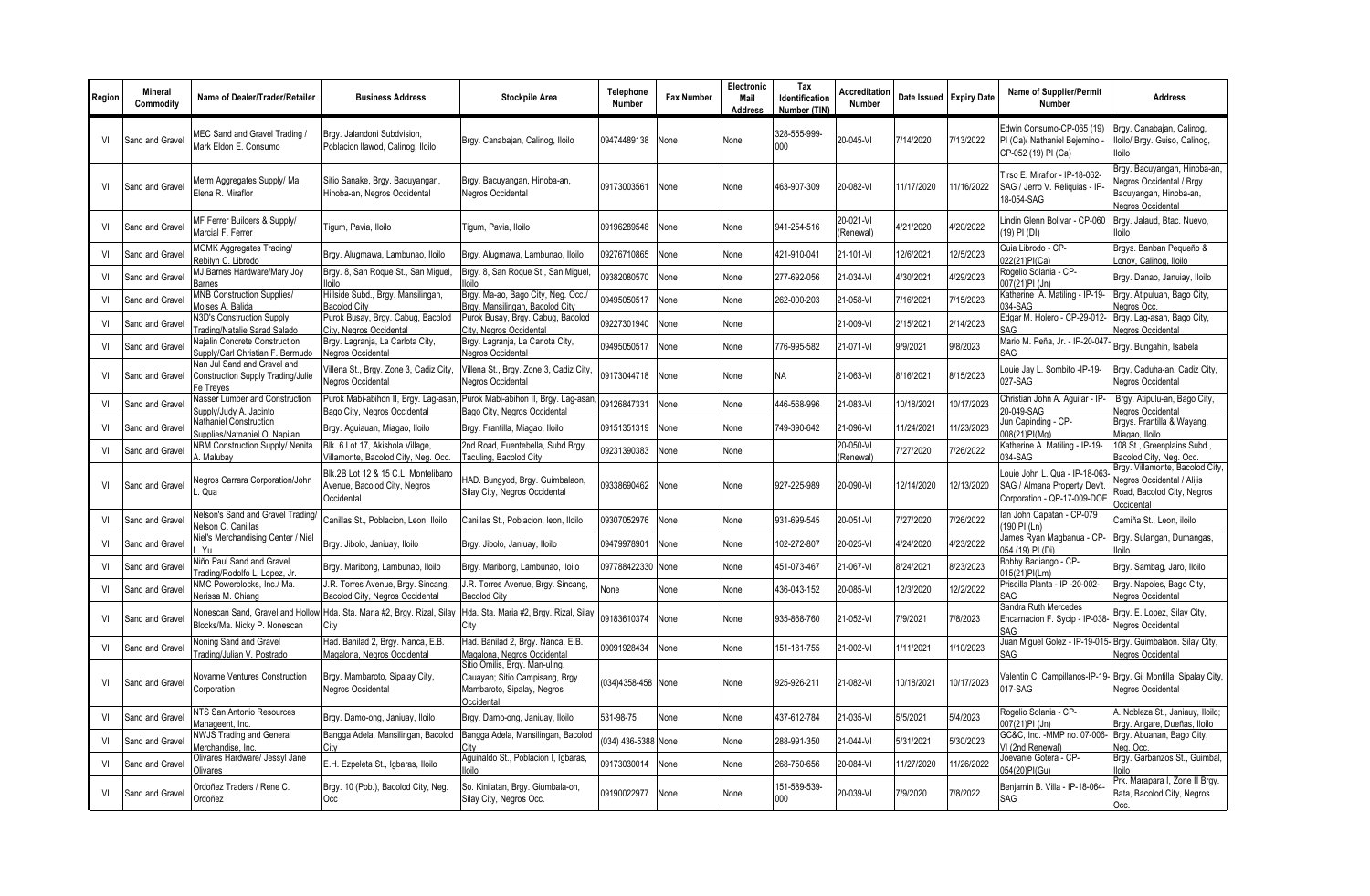| Region | <b>Mineral</b><br>Commodity | Name of Dealer/Trader/Retailer                                                       | <b>Business Address</b>                                                           | <b>Stockpile Area</b>                                                                                         | Telephone<br><b>Number</b> | <b>Fax Number</b> | Electronic<br>Mail<br><b>Address</b> | Tax<br>Identification<br>Number (TIN) | Accreditation<br>Number | Date Issued Expiry Date |            | <b>Name of Supplier/Permit</b><br><b>Number</b>                                              | <b>Address</b>                                                                                                  |
|--------|-----------------------------|--------------------------------------------------------------------------------------|-----------------------------------------------------------------------------------|---------------------------------------------------------------------------------------------------------------|----------------------------|-------------------|--------------------------------------|---------------------------------------|-------------------------|-------------------------|------------|----------------------------------------------------------------------------------------------|-----------------------------------------------------------------------------------------------------------------|
| VI     | Sand and Gravel             | MEC Sand and Gravel Trading /<br>Mark Eldon E. Consumo                               | Brgy. Jalandoni Subdvision,<br>Poblacion Ilawod, Calinog, Iloilo                  | Brgy. Canabajan, Calinog, Iloilo                                                                              | 09474489138                | None              | None                                 | 328-555-999<br>000                    | 20-045-VI               | 7/14/2020               | 7/13/2022  | Edwin Consumo-CP-065 (19)<br>PI (Ca)/ Nathaniel Bejemino -<br>CP-052 (19) PI (Ca)            | Brgy. Canabajan, Calinog,<br>lloilo/ Brgy. Guiso, Calinog,<br>lloilo                                            |
| VI     | Sand and Gravel             | Merm Aggregates Supply/ Ma.<br>Elena R. Miraflor                                     | Sitio Sanake, Brgy. Bacuyangan,<br>Hinoba-an, Negros Occidental                   | Brgy. Bacuyangan, Hinoba-an,<br>Negros Occidental                                                             | 09173003561                | None              | None                                 | 463-907-309                           | 20-082-VI               | 11/17/2020              | 11/16/2022 | Tirso E. Miraflor - IP-18-062-<br>SAG / Jerro V. Reliquias - IP-<br>18-054-SAG               | Brgy. Bacuyangan, Hinoba-an,<br>legros Occidental / Brgy.<br>Bacuyangan, Hinoba-an,<br><b>Vegros Occidental</b> |
| VI     | Sand and Gravel             | MF Ferrer Builders & Supply/<br>Marcial F. Ferrer                                    | Tigum, Pavia, Iloilo                                                              | Tigum, Pavia, Iloilo                                                                                          | 09196289548                | None              | None                                 | 941-254-516                           | 20-021-VI<br>(Renewal)  | 4/21/2020               | 4/20/2022  | Lindin Glenn Bolivar - CP-060<br>(19) PI (DI)                                                | Brgy. Jalaud, Btac. Nuevo.<br>lloilo                                                                            |
| VI     | Sand and Gravel             | <b>MGMK Aggregates Trading/</b><br>Rebilyn C. Librodo                                | Brgy. Alugmawa, Lambunao, Iloilo                                                  | Brgy. Alugmawa, Lambunao, Iloilo                                                                              | 09276710865                | None              | None                                 | 421-910-041                           | 21-101-VI               | 12/6/2021               | 12/5/2023  | Guia Librodo - CP-<br>022(21)PI(Ca)                                                          | Brgys. Banban Pequeño &<br>Lonoy, Calinog, Iloilo                                                               |
| VI     | Sand and Gravel             | MJ Barnes Hardware/Mary Joy<br>Barnes                                                | Brgy. 8, San Roque St., San Miguel<br>lloilo                                      | Brgy. 8, San Roque St., San Miguel,<br>lloilo                                                                 | 09382080570                | None              | None                                 | 277-692-056                           | 21-034-VI               | 4/30/2021               | 1/29/2023  | Rogelio Solania - CP-<br>007(21)PI (Jn)                                                      | Brgy. Danao, Januiay, Iloilo                                                                                    |
| VI     | Sand and Gravel             | <b>MNB Construction Supplies/</b><br>Moises A. Balida                                | Hillside Subd., Brgy. Mansilingan,<br><b>Bacolod City</b>                         | Brgy. Ma-ao, Bago City, Neg. Occ./<br>Brgy. Mansilingan, Bacolod City                                         | 09495050517                | None              | None                                 | 262-000-203                           | 21-058-VI               | 7/16/2021               | 7/15/2023  | Katherine A. Matiling - IP-19-<br>$034-SAG$                                                  | Brgy. Atipuluan, Bago City,<br>Jegros Occ                                                                       |
| VI     | Sand and Gravel             | N3D's Construction Supply<br>Trading/Natalie Sarad Salado                            | Purok Busay, Brgy. Cabug, Bacolod<br>City, Negros Occidental                      | Purok Busay, Brgy. Cabug, Bacolod<br>City, Negros Occidental                                                  | 09227301940                | None              | None                                 |                                       | 21-009-VI               | 2/15/2021               | 2/14/2023  | Edgar M. Holero - CP-29-012-<br>SAG                                                          | Brgy. Lag-asan, Bago City,<br><b>Jegros Occidental</b>                                                          |
| VI     | Sand and Grave              | Najalin Concrete Construction<br>Supply/Carl Christian F. Bermudo                    | Brgy. Lagranja, La Carlota City,<br>Negros Occidental                             | Brgy. Lagranja, La Carlota City,<br>Negros Occidental                                                         | 09495050517                | None              | None                                 | 776-995-582                           | 21-071-VI               | 9/9/2021                | 9/8/2023   | Mario M. Peña, Jr. - IP-20-047<br>SAG                                                        | Brgy. Bungahin, Isabela                                                                                         |
| VI     | Sand and Gravel             | Nan Jul Sand and Gravel and<br><b>Construction Supply Trading/Julie</b><br>Fe Treyes | /illena St., Brgy. Zone 3, Cadiz City,<br>Negros Occidental                       | Villena St., Brgy. Zone 3, Cadiz City,<br>Negros Occidental                                                   | 09173044718                | None              | None                                 | <b>NA</b>                             | 21-063-VI               | 8/16/2021               | 8/15/2023  | Louie Jay L. Sombito -IP-19-<br>027-SAG                                                      | Brgy. Caduha-an, Cadiz City,<br><b>Vegros Occidental</b>                                                        |
| VI     | Sand and Gravel             | Nasser Lumber and Construction<br>Supply/Judy A. Jacinto                             | Purok Mabi-abihon II, Brgy. Lag-asan,<br>Bago City, Negros Occidental             | Purok Mabi-abihon II, Brgy. Lag-asan<br>Bago City, Negros Occidental                                          | 09126847331                | None              | None                                 | 446-568-996                           | 21-083-VI               | 10/18/2021              | 10/17/2023 | Christian John A. Aquilar - IP-<br>20-049-SAG                                                | Brgy. Atipulu-an, Bago City,<br><b>Jegros Occidental</b>                                                        |
| VI     | Sand and Grave              | Nathaniel Construction<br>Supplies/Natnaniel O. Napilan                              | Brgy. Aguiauan, Miagao, Iloilo                                                    | Brgy. Frantilla, Miagao, Iloilo                                                                               | 09151351319                | None              | None                                 | 749-390-642                           | 21-096-VI               | 11/24/2021              | 1/23/2023  | Jun Capinding - CP-<br>008(21)PI(Ma)                                                         | Brgys. Frantilla & Wayang,<br>Miagao, Iloilo                                                                    |
| VI     | Sand and Grave              | NBM Construction Supply/ Nenita<br>. Malubay                                         | Blk. 6 Lot 17, Akishola Village,<br>Villamonte, Bacolod City, Neg. Occ.           | 2nd Road, Fuentebella, Subd.Brgy.<br>Taculing, Bacolod City                                                   | 09231390383                | None              | None                                 |                                       | 20-050-VI<br>(Renewal)  | //27/2020               | //26/2022  | Katherine A. Matiling - IP-19-<br>034-SAG                                                    | 108 St., Greenplains Subd.,<br>Bacolod City, Neg. Occ.                                                          |
| VI     | Sand and Gravel             | Negros Carrara Corporation/John<br>. Qua                                             | Blk.2B Lot 12 & 15 C.L. Montelibano<br>Avenue, Bacolod City, Negros<br>Occidental | HAD. Bungyod, Brgy. Guimbalaon,<br>Silay City, Negros Occidental                                              | 09338690462                | None              | None                                 | 927-225-989                           | 20-090-VI               | 12/14/2020              | 12/13/2020 | Louie John L. Qua - IP-18-063<br>SAG / Almana Property Dev't.<br>Corporation - QP-17-009-DOE | Brgy. Villamonte, Bacolod City,<br>Jegros Occidental / Alijis<br>Road, Bacolod City, Negros<br>Occidental       |
| VI     | Sand and Gravel             | Nelson's Sand and Gravel Trading/<br>Nelson C. Canillas                              | Canillas St., Poblacion, Leon, Iloilo                                             | Canillas St., Poblacion, leon, Iloilo                                                                         | 09307052976                | None              | None                                 | 931-699-545                           | 20-051-VI               | //27/2020               | /26/2022   | Ian John Capatan - CP-079<br>(190 PI (Ln)                                                    | Camiña St., Leon, iloilo                                                                                        |
| VI     | Sand and Grave              | Niel's Merchandising Center / Niel<br>Yu                                             | Brgy. Jibolo, Janiuay, Iloilo                                                     | Brgy. Jibolo, Janiuay, Iloilo                                                                                 | 09479978901                | None              | None                                 | 102-272-807                           | 20-025-VI               | 4/24/2020               | 1/23/2022  | James Ryan Magbanua - CP-<br>054 (19) PI (Di)                                                | Brgy. Sulangan, Dumangas,<br>loilo                                                                              |
| VI     | Sand and Gravel             | Niño Paul Sand and Gravel<br>Trading/Rodolfo L. Lopez, Jr                            | Brgy. Maribong, Lambunao, Iloilo                                                  | Brgy. Maribong, Lambunao, Iloilo                                                                              | 097788422330               | None              | None                                 | 451-073-467                           | 21-067-VI               | 8/24/2021               | 8/23/2023  | Bobby Badiango - CP-<br>015(21)PI(Lm)                                                        | Brgy. Sambag, Jaro, Iloilo                                                                                      |
| VI     | Sand and Gravel             | NMC Powerblocks, Inc./ Ma.<br>Nerissa M. Chiang                                      | J.R. Torres Avenue, Brgy. Sincang,<br>Bacolod City, Negros Occidental             | J.R. Torres Avenue, Brgy. Sincang,<br><b>Bacolod City</b>                                                     | None                       | None              | None                                 | 436-043-152                           | 20-085-VI               | 12/3/2020               | 12/2/2022  | Priscilla Planta - IP -20-002-<br>SAG                                                        | Brgy. Napoles, Bago City,<br><b>Vegros Occidental</b>                                                           |
| VI     | Sand and Grave              | Nonescan Sand, Gravel and Hollow<br>Blocks/Ma. Nicky P. Nonescan                     | Hda. Sta. Maria #2, Brgy. Rizal, Silay<br>City                                    | Hda. Sta. Maria #2, Brgy. Rizal, Silay<br>City                                                                | 09183610374                | None              | None                                 | 935-868-760                           | 21-052-VI               | 7/9/2021                | 7/8/2023   | Sandra Ruth Mercedes<br>Encarnacion F. Sycip - IP-038<br>SAG                                 | Brgy. E. Lopez, Silay City,<br><b>Negros Occidental</b>                                                         |
| VI     | Sand and Gravel             | Noning Sand and Gravel<br>Trading/Julian V. Postrado                                 | Had. Banilad 2, Brgy. Nanca, E.B.<br>Magalona, Negros Occidental                  | Had. Banilad 2, Brgy. Nanca, E.B.<br>Magalona, Negros Occidental                                              | 09091928434                | None              | None                                 | 151-181-755                           | 21-002-VI               | 1/11/2021               | 1/10/2023  | Juan Miguel Golez - IP-19-015- Brgy. Guimbalaon. Silay City,<br>SAG                          | <b>Negros Occidental</b>                                                                                        |
| VI     | Sand and Gravel             | Novanne Ventures Construction<br>Corporation                                         | Brgy. Mambaroto, Sipalay City,<br>Negros Occidental                               | Sitio Omilis, Brgy. Man-uling,<br>Cauayan; Sitio Campisang, Brgy.<br>Mambaroto, Sipalay, Negros<br>Occidental | (034)4358-458 None         |                   | None                                 | 925-926-211                           | 21-082-VI               | 10/18/2021              | 10/17/2023 | 017-SAG                                                                                      | Valentin C. Campillanos-IP-19- Brgy. Gil Montilla, Sipalay City,<br>Negros Occidental                           |
| VI     | Sand and Gravel             | NTS San Antonio Resources<br>Manageent, Inc.                                         | Brgy. Damo-ong, Janiuay, Iloilo                                                   | Brgy. Damo-ong, Janiuay, Iloilo                                                                               | 531-98-75                  | None              | None                                 | 437-612-784                           | 21-035-VI               | 5/5/2021                | 5/4/2023   | Rogelio Solania - CP-<br>007(21)PI (Jn)                                                      | A. Nobleza St., Janiauy, Iloilo;<br>Brgy. Angare, Dueñas, Iloilo                                                |
| VI     | Sand and Grave              | <b>NWJS Trading and General</b><br>Merchandise, Inc.                                 | Bangga Adela, Mansilingan, Bacolod<br>City                                        | Bangga Adela, Mansilingan, Bacolod<br>City                                                                    | (034) 436-5388 None        |                   | None                                 | 288-991-350                           | 21-044-VI               | 5/31/2021               | 5/30/2023  | GC&C, Inc. - MMP no. 07-006-<br>VI (2nd Renewal)                                             | Brgy. Abuanan, Bago City,<br>leg. Occ.                                                                          |
| VI     | Sand and Grave              | Olivares Hardware/ Jessyl Jane<br>Olivares                                           | E.H. Ezpeleta St., Igbaras, Iloilo                                                | Aquinaldo St., Poblacion I, Igbaras,<br>lloilo                                                                | 09173030014                | None              | None                                 | 268-750-656                           | 20-084-VI               | 11/27/2020              | 1/26/2022  | Joevanie Gotera - CP-<br>054(20)PI(Gu)                                                       | Brgy. Garbanzos St., Guimbal,<br>lloilo                                                                         |
| VI     | Sand and Gravel             | Ordoñez Traders / Rene C.<br>Ordoñez                                                 | Brgy. 10 (Pob.), Bacolod City, Neg.<br>Occ                                        | So. Kinilatan, Brgy. Giumbala-on,<br>Silay City, Negros Occ.                                                  | 09190022977                | None              | None                                 | 151-589-539-<br>000                   | 20-039-VI               | 7/9/2020                | 7/8/2022   | Beniamin B. Villa - IP-18-064-<br>SAG                                                        | Prk. Marapara I, Zone II Brgy.<br>Bata, Bacolod City, Negros<br>Occ.                                            |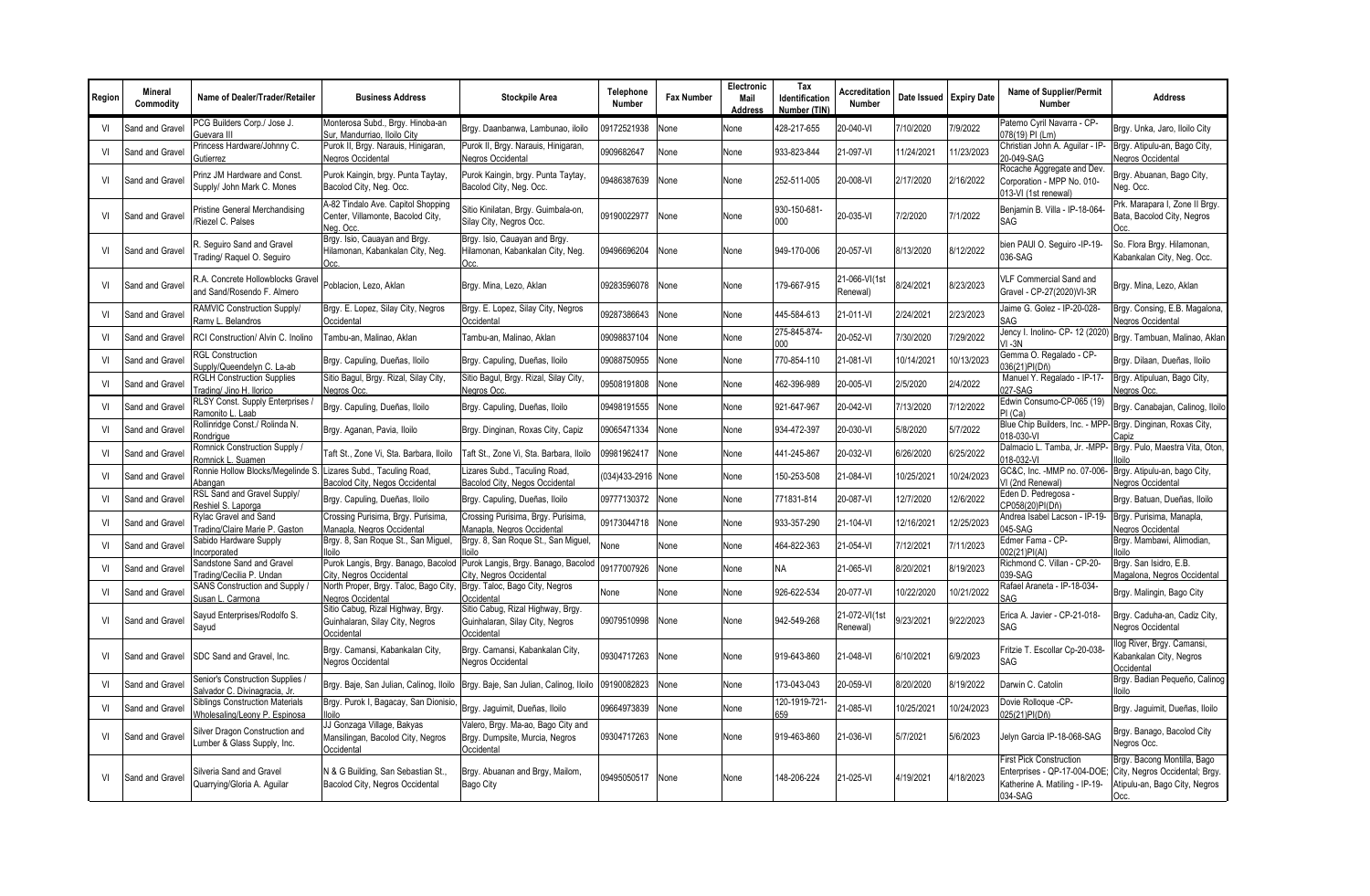| Region | <b>Mineral</b><br>Commodity | Name of Dealer/Trader/Retailer                                          | <b>Business Address</b>                                                                              | <b>Stockpile Area</b>                                                              | Telephone<br><b>Number</b> | <b>Fax Number</b> | Electronic<br>Mail<br>Address | Tax<br>Identification<br>Number (TIN | <b>Accreditation</b><br>Number |            | Date Issued Expiry Date | Name of Supplier/Permit<br><b>Number</b>                                                                    | <b>Address</b>                                                                                         |
|--------|-----------------------------|-------------------------------------------------------------------------|------------------------------------------------------------------------------------------------------|------------------------------------------------------------------------------------|----------------------------|-------------------|-------------------------------|--------------------------------------|--------------------------------|------------|-------------------------|-------------------------------------------------------------------------------------------------------------|--------------------------------------------------------------------------------------------------------|
| VI     | Sand and Gravel             | PCG Builders Corp./ Jose J.<br>Guevara III                              | Monterosa Subd., Brgy. Hinoba-an<br>Sur, Mandurriao, Iloilo City                                     | Brgy. Daanbanwa, Lambunao, iloilo                                                  | 09172521938                | None              | None                          | 428-217-655                          | 20-040-VI                      | 7/10/2020  | 7/9/2022                | Paterno Cyril Navarra - CP-<br>078(19) PI (Lm)                                                              | Brgy. Unka, Jaro, Iloilo City                                                                          |
| VI     | Sand and Gravel             | Princess Hardware/Johnny C.<br>Gutierrez                                | Purok II, Brgy. Narauis, Hinigaran,<br>Negros Occidental                                             | Purok II, Brgy. Narauis, Hinigaran,<br>Negros Occidental                           | 0909682647                 | Vone              | None                          | 933-823-844                          | 21-097-VI                      | 11/24/2021 | 1/23/2023               | Christian John A. Aquilar - IP-<br>20-049-SAG                                                               | Brgy. Atipulu-an, Bago City,<br>Negros Occidental                                                      |
| VI     | Sand and Gravel             | Prinz JM Hardware and Const.<br>Supply/ John Mark C. Mones              | Purok Kaingin, brgy. Punta Taytay,<br>Bacolod City, Neg. Occ.                                        | Purok Kaingin, brgy. Punta Taytay,<br>Bacolod City, Neg. Occ.                      | 09486387639                | None              | None                          | 252-511-005                          | 20-008-VI                      | 2/17/2020  | 2/16/2022               | Rocache Aggregate and Dev.<br>Corporation - MPP No. 010-<br>013-VI (1st renewal)                            | Brgy. Abuanan, Bago City,<br>Neg. Occ.                                                                 |
| VI     | Sand and Gravel             | Pristine General Merchandising<br>Riezel C. Palses                      | A-82 Tindalo Ave. Capitol Shopping<br>Center, Villamonte, Bacolod City,<br>Neg. Occ.                 | Sitio Kinilatan, Brgy. Guimbala-on,<br>Silay City, Negros Occ.                     | 09190022977                | None              | None                          | 930-150-681-<br>000                  | 20-035-VI                      | 7/2/2020   | 7/1/2022                | Beniamin B. Villa - IP-18-064-<br><b>SAG</b>                                                                | Prk. Marapara I, Zone II Brgy.<br>Bata, Bacolod City, Negros                                           |
| VI     | Sand and Gravel             | R. Sequiro Sand and Gravel<br>Frading/ Raguel O. Seguiro                | Brgy. Isio, Cauayan and Brgy.<br>Hilamonan, Kabankalan City, Neg.                                    | Brgy. Isio, Cauayan and Brgy.<br>Hilamonan, Kabankalan City, Neg.<br>Occ.          | 09496696204                | None              | None                          | 949-170-006                          | 20-057-VI                      | 8/13/2020  | 8/12/2022               | bien PAUI O. Sequiro -IP-19-<br>036-SAG                                                                     | So. Flora Brgy. Hilamonan,<br>Kabankalan City, Neg. Occ.                                               |
| VI     | Sand and Gravel             | R.A. Concrete Hollowblocks Gravel<br>and Sand/Rosendo F. Almero         | Poblacion, Lezo, Aklan                                                                               | Brgy. Mina, Lezo, Aklan                                                            | 09283596078                | None              | None                          | 179-667-915                          | 21-066-VI(1st<br>Renewal)      | 8/24/2021  | 8/23/2023               | VLF Commercial Sand and<br>Gravel - CP-27(2020)VI-3R                                                        | Brgy. Mina, Lezo, Aklan                                                                                |
| VI     | Sand and Grave              | RAMVIC Construction Supply/<br>Ramy L. Belandros                        | Brgy. E. Lopez, Silay City, Negros<br>Occidental                                                     | Brgy. E. Lopez, Silay City, Negros<br>Occidental                                   | 09287386643                | Vone              | None                          | 445-584-613                          | 21-011-VI                      | 2/24/2021  | 2/23/2023               | Jaime G. Golez - IP-20-028-<br>SAG                                                                          | Brgy. Consing, E.B. Magalona,<br>Negros Occidental                                                     |
| VI     | Sand and Gravel             | RCI Construction/ Alvin C. Inolino                                      | Tambu-an, Malinao, Aklan                                                                             | Tambu-an, Malinao, Aklan                                                           | 09098837104                | None              | None                          | 275-845-874-<br>000                  | 20-052-VI                      | 7/30/2020  | /29/2022                | Jency I. Inolino- CP- 12 (2020)<br>$VI - 3N$                                                                | Brgy. Tambuan, Malinao, Aklan                                                                          |
| VI     | Sand and Gravel             | <b>RGL Construction</b><br>Supply/Queendelyn C. La-ab                   | Brgy. Capuling, Dueñas, Iloilo                                                                       | Brgy. Capuling, Dueñas, Iloilo                                                     | 09088750955                | None              | None                          | 770-854-110                          | 21-081-VI                      | 10/14/2021 | 10/13/2023              | Gemma O. Regalado - CP-<br>36(21)PI(Dñ)                                                                     | Brgy. Dilaan, Dueñas, Iloilo                                                                           |
| VI     | Sand and Grave              | <b>RGLH Construction Supplies</b><br>Trading/ Jino H. Ilorico           | Sitio Bagul, Brgy. Rizal, Silay City,<br>Negros Occ                                                  | Sitio Bagul, Brgy. Rizal, Silay City,<br>Negros Occ                                | 09508191808                | Vone              | None                          | 462-396-989                          | 20-005-VI                      | 2/5/2020   | 2/4/2022                | Manuel Y. Regalado - IP-17-<br>027-SAG                                                                      | Brgy. Atipuluan, Bago City,<br><b>Vegros Occ.</b>                                                      |
| VI     | Sand and Grave              | RLSY Const. Supply Enterprises /<br>Ramonito L. Laab                    | Brgy. Capuling, Dueñas, Iloilo                                                                       | Brgy. Capuling, Dueñas, Iloilo                                                     | 09498191555                | Vone              | None                          | 921-647-967                          | 20-042-VI                      | 7/13/2020  | 7/12/2022               | Edwin Consumo-CP-065 (19)<br>PI (Ca)                                                                        | Brgy. Canabajan, Calinog, Iloilo                                                                       |
| VI     | Sand and Grave              | Rollinridge Const./ Rolinda N.<br>Rondriaue                             | Brgy. Aganan, Pavia, Iloilo                                                                          | Brgy. Dinginan, Roxas City, Capiz                                                  | 09065471334                | Vone              | None                          | 934-472-397                          | 20-030-VI                      | 5/8/2020   | 5/7/2022                | Blue Chip Builders, Inc. - MPP-<br>018-030-VI                                                               | Brgy. Dinginan, Roxas City,<br>Capiz                                                                   |
| VI     | Sand and Grave              | Romnick Construction Supply /<br>Romnick L. Suamen                      | Taft St., Zone Vi, Sta. Barbara, Iloilo                                                              | Taft St., Zone Vi, Sta. Barbara, Iloilo                                            | 09981962417                | None              | None                          | 441-245-867                          | 20-032-VI                      | 6/26/2020  | 6/25/2022               | Dalmacio L. Tamba, Jr. - MPP-<br>018-032-VI                                                                 | Brgy. Pulo, Maestra Vita, Oton<br>lloilo                                                               |
| VI     | Sand and Gravel             | Ronnie Hollow Blocks/Megelinde S.<br>Abangan                            | Lizares Subd., Taculing Road,<br>Bacolod City, Negos Occidental                                      | Lizares Subd., Taculing Road,<br>Bacolod City, Negos Occidental                    | (034)433-2916              | None              | None                          | 150-253-508                          | 21-084-VI                      | 0/25/2021  | 10/24/2023              | GC&C, Inc. - MMP no. 07-006-<br>VI (2nd Renewal)                                                            | Brgy. Atipulu-an, bago City,<br><b>Vegros Occidental</b>                                               |
| VI     | Sand and Grave              | RSL Sand and Gravel Supply/<br>Reshiel S. Laporga                       | Brgy. Capuling, Dueñas, Iloilo                                                                       | Brgy. Capuling, Dueñas, Iloilo                                                     | 09777130372                | None              | None                          | 771831-814                           | 20-087-VI                      | 12/7/2020  | 12/6/2022               | Eden D. Pedregosa -<br>CP058(20)PI(Dñ)                                                                      | Brgy. Batuan, Dueñas, Iloilo                                                                           |
| VI     | Sand and Grave              | Rylac Gravel and Sand<br>Trading/Claire Marie P. Gaston                 | Crossing Purisima, Brgy. Purisima,<br>Manapla, Negros Occidental                                     | Crossing Purisima, Brgy. Purisima,<br>Manapla, Negros Occidental                   | 09173044718                | Vone              | None                          | 933-357-290                          | 21-104-VI                      | 12/16/2021 | 12/25/2023              | Andrea Isabel Lacson - IP-19-<br>045-SAG                                                                    | Brgy. Purisima, Manapla,<br>Negros Occidental                                                          |
| VI     | Sand and Gravel             | Sabido Hardware Supply<br>Incorporated                                  | Brgy. 8, San Roque St., San Miguel,<br>lloilo                                                        | Brgy. 8, San Roque St., San Miguel,<br>lloilo                                      | None                       | None              | None                          | 464-822-363                          | 21-054-VI                      | 7/12/2021  | 7/11/2023               | Edmer Fama - CP-<br>002(21)PI(Al)                                                                           | Brgy. Mambawi, Alimodian,<br>lloilo                                                                    |
| VI     | Sand and Grave              | Sandstone Sand and Gravel<br>Trading/Cecilia P. Undan                   | Purok Langis, Brgy. Banago, Bacolod   Purok Langis, Brgy. Banago, Bacolod<br>City, Negros Occidental | City, Negros Occidental                                                            | 09177007926                | None              | None                          | <b>NA</b>                            | 21-065-VI                      | 8/20/2021  | 8/19/2023               | Richmond C. Villan - CP-20-<br>039-SAG                                                                      | Brgy. San Isidro, E.B.<br>Magalona, Negros Occidental                                                  |
| VI     | Sand and Grave              | SANS Construction and Supply /<br>Susan L. Carmona                      | North Proper, Brgy. Taloc, Bago City,<br><b>Negros Occidental</b>                                    | Brgy. Taloc, Bago City, Negros<br>Occidental                                       | None                       | None              | None                          | 926-622-534                          | 20-077-VI                      | 10/22/2020 | 10/21/2022              | Rafael Araneta - IP-18-034-<br>SAG                                                                          | Brgy. Malingin, Bago City                                                                              |
| VI     | Sand and Gravel             | Sayud Enterprises/Rodolfo S.<br>Sayud                                   | Sitio Cabug, Rizal Highway, Brgy.<br>Guinhalaran, Silay City, Negros<br>Occidental                   | Sitio Cabug, Rizal Highway, Brgy.<br>Guinhalaran, Silay City, Negros<br>Occidenta  | 09079510998                | None              | None                          | 942-549-268                          | 21-072-VI(1st<br>Renewal)      | 9/23/2021  | 9/22/2023               | Erica A. Javier - CP-21-018-<br><b>SAG</b>                                                                  | Brgy. Caduha-an, Cadiz City,<br>Negros Occidental                                                      |
| VI     | Sand and Gravel             | SDC Sand and Gravel, Inc.                                               | Brgy. Camansi, Kabankalan City,<br>Negros Occidental                                                 | Brgy. Camansi, Kabankalan City,<br>Negros Occidental                               | 09304717263                | None              | None                          | 919-643-860                          | 21-048-VI                      | 6/10/2021  | 6/9/2023                | Fritzie T. Escollar Cp-20-038-<br>SAG                                                                       | llog River, Brgy. Camansi,<br>Kabankalan City, Negros<br>Occidental                                    |
| VI     | Sand and Gravel             | Senior's Construction Supplies /<br>Salvador C. Divinagracia, Jr.       | Brgy. Baje, San Julian, Calinog, Iloilo                                                              | Brgy. Baje, San Julian, Calinog, Iloilo                                            | 09190082823                | None              | None                          | 173-043-043                          | 20-059-VI                      | 8/20/2020  | 8/19/2022               | Darwin C. Catolin                                                                                           | Brgy. Badian Pequeño, Calinog<br>lloilo                                                                |
| VI     | Sand and Gravel             | <b>Siblings Construction Materials</b><br>Wholesaling/Leony P. Espinosa | Brgy. Purok I, Bagacay, San Dionisio,<br>lloilo                                                      | Brgy. Jaguimit, Dueñas, Iloilo                                                     | 09664973839                | Vone              | None                          | 120-1919-721-<br>659                 | 21-085-VI                      | 0/25/2021  | 0/24/2023               | Dovie Rolloque -CP-<br>025(21)PI(Dñ)                                                                        | Brgy. Jaguimit, Dueñas, Iloilo                                                                         |
| VI     | Sand and Gravel             | Silver Dragon Construction and<br>Lumber & Glass Supply, Inc.           | JJ Gonzaga Village, Bakyas<br>Mansilingan, Bacolod City, Negros<br>Occidental                        | Valero, Brgy. Ma-ao, Bago City and<br>Brgy. Dumpsite, Murcia, Negros<br>Occidental | 09304717263                | None              | None                          | 919-463-860                          | 21-036-VI                      | 5/7/2021   | 5/6/2023                | Jelyn Garcia IP-18-068-SAG                                                                                  | Brgy. Banago, Bacolod City<br>Negros Occ.                                                              |
| VI     | Sand and Gravel             | Silveria Sand and Gravel<br>Quarrying/Gloria A. Aquilar                 | N & G Building, San Sebastian St.,<br>Bacolod City, Negros Occidental                                | Brgy. Abuanan and Brgy, Mailom,<br>Bago City                                       | 09495050517                | None              | None                          | 148-206-224                          | 21-025-VI                      | 4/19/2021  | 4/18/2023               | <b>First Pick Construction</b><br>Enterprises - QP-17-004-DOE;<br>Katherine A. Matiling - IP-19-<br>034-SAG | Brgy. Bacong Montilla, Bago<br>City, Negros Occidental; Brgy.<br>Atipulu-an, Bago City, Negros<br>Occ. |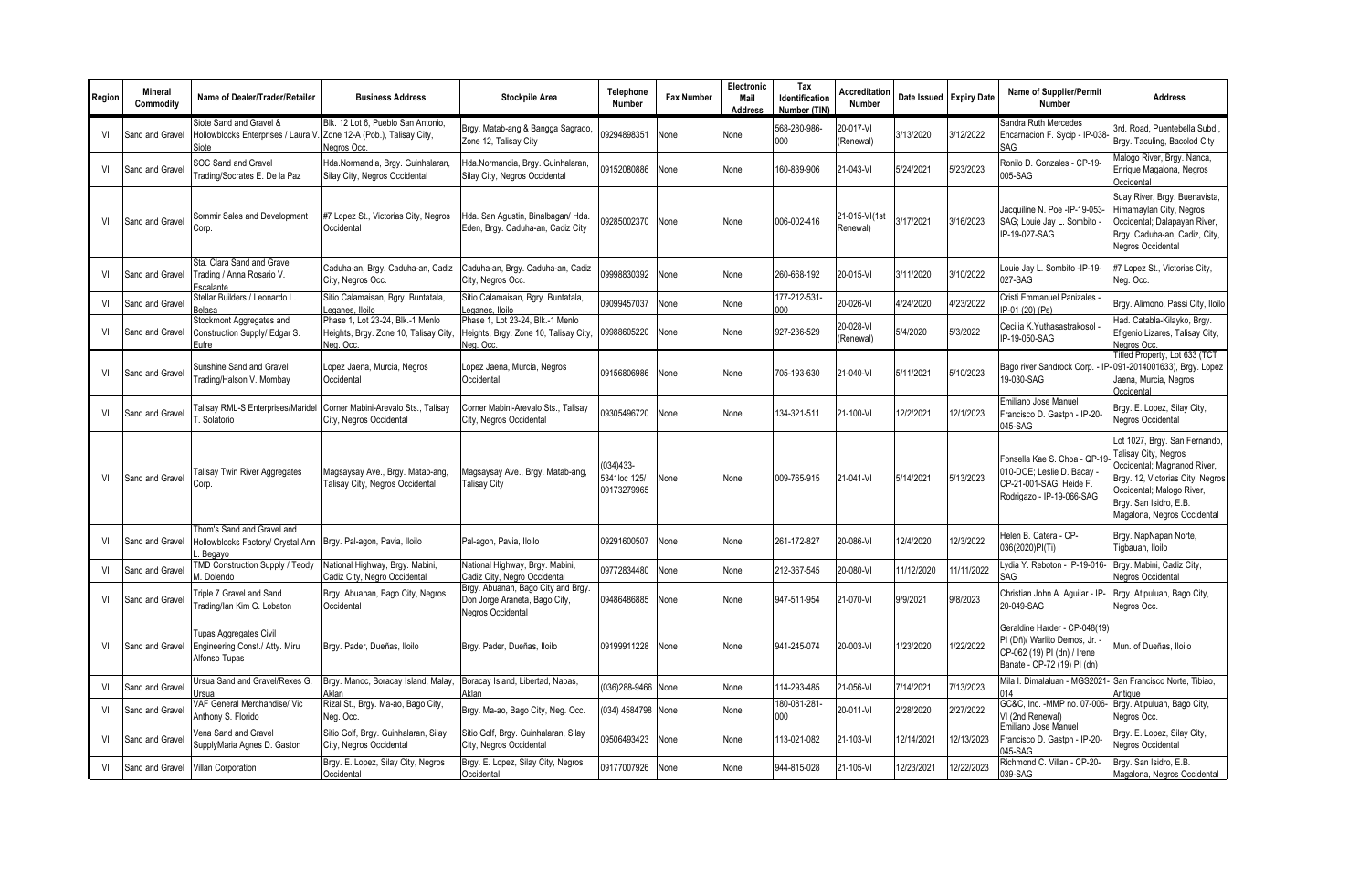| Region         | Mineral<br>Commodity | Name of Dealer/Trader/Retailer                                                                            | <b>Business Address</b>                                                                | <b>Stockpile Area</b>                                                                    | Telephone<br><b>Number</b>                 | <b>Fax Number</b> | Electronic<br>Mail<br>Address | Tax<br>Identification<br>Number (TIN) | Accreditation<br>Number   | Date Issued Expiry Date |            | <b>Name of Supplier/Permit</b><br>Number                                                                                   | <b>Address</b>                                                                                                                                                                                                 |
|----------------|----------------------|-----------------------------------------------------------------------------------------------------------|----------------------------------------------------------------------------------------|------------------------------------------------------------------------------------------|--------------------------------------------|-------------------|-------------------------------|---------------------------------------|---------------------------|-------------------------|------------|----------------------------------------------------------------------------------------------------------------------------|----------------------------------------------------------------------------------------------------------------------------------------------------------------------------------------------------------------|
| VI             | Sand and Gravel      | Siote Sand and Gravel &<br>Hollowblocks Enterprises / Laura V<br>Siote                                    | Blk. 12 Lot 6. Pueblo San Antonio.<br>Zone 12-A (Pob.), Talisay City,<br>Negros Occ.   | Brgy. Matab-ang & Bangga Sagrado,<br>Zone 12. Talisav Citv                               | 09294898351                                | None              | None                          | 568-280-986-<br>000                   | 20-017-VI<br>(Renewal)    | 3/13/2020               | 3/12/2022  | Sandra Ruth Mercedes<br>Encarnacion F. Sycip - IP-038-<br>SAG                                                              | 3rd. Road, Puentebella Subd.<br>Brgy. Taculing, Bacolod City                                                                                                                                                   |
| VI             | Sand and Gravel      | SOC Sand and Gravel<br>Frading/Socrates E. De la Paz                                                      | Hda.Normandia, Brgy. Guinhalaran,<br>Silay City, Negros Occidental                     | Hda.Normandia, Brgy. Guinhalaran,<br>Silay City, Negros Occidental                       | 09152080886                                | None              | None                          | 160-839-906                           | 21-043-VI                 | 5/24/2021               | 5/23/2023  | Ronilo D. Gonzales - CP-19-<br>005-SAG                                                                                     | Malogo River, Brgy. Nanca,<br>Enrique Magalona, Negros<br>Occidental                                                                                                                                           |
| VI             | Sand and Gravel      | Sommir Sales and Development<br>Corp.                                                                     | #7 Lopez St., Victorias City, Negros<br>Occidental                                     | Hda. San Agustin, Binalbagan/ Hda<br>Eden, Brgy. Caduha-an, Cadiz City                   | 09285002370                                | None              | None                          | 006-002-416                           | 21-015-VI(1st<br>Renewal) | 3/17/2021               | 3/16/2023  | Jacquiline N. Poe -IP-19-053-<br>SAG; Louie Jay L. Sombito -<br>IP-19-027-SAG                                              | Suay River, Brgy. Buenavista,<br>Himamaylan City, Negros<br>Occidental; Dalapayan River,<br>Brgy. Caduha-an, Cadiz, City,<br><b>Negros Occidental</b>                                                          |
| VI             | Sand and Gravel      | Sta. Clara Sand and Gravel<br>Trading / Anna Rosario V.<br>Escalante                                      | Caduha-an, Brgy. Caduha-an, Cadiz<br>City, Negros Occ.                                 | Caduha-an, Brgy. Caduha-an, Cadiz<br>City, Negros Occ.                                   | 09998830392                                | None              | None                          | 260-668-192                           | 20-015-VI                 | 3/11/2020               | 3/10/2022  | Louie Jay L. Sombito -IP-19-<br>027-SAG                                                                                    | #7 Lopez St., Victorias City,<br>Veg. Occ.                                                                                                                                                                     |
| VI             | Sand and Gravel      | Stellar Builders / Leonardo L.<br>Belasa                                                                  | Sitio Calamaisan, Bgry. Buntatala,<br>Leganes, Iloilo                                  | Sitio Calamaisan, Bgry. Buntatala,<br>Leganes, Iloilo                                    | 09099457037                                | None              | None                          | 177-212-531<br>000                    | 20-026-VI                 | 4/24/2020               | 4/23/2022  | Cristi Emmanuel Panizales<br>IP-01 (20) (Ps)                                                                               | Brgy. Alimono, Passi City, Iloilo                                                                                                                                                                              |
| VI             | Sand and Gravel      | Stockmont Aggregates and<br>Construction Supply/ Edgar S.<br>Eufre                                        | Phase 1, Lot 23-24, Blk.-1 Menlo<br>Heights, Brgy. Zone 10, Talisay City,<br>Neg. Occ. | Phase 1, Lot 23-24, Blk.-1 Menlo<br>Heights, Brgy. Zone 10, Talisay City,<br>Nea, Occ    | 09988605220                                | None              | None                          | 927-236-529                           | 20-028-VI<br>(Renewal)    | 5/4/2020                | 5/3/2022   | Cecilia K.Yuthasastrakosol<br>IP-19-050-SAG                                                                                | Had. Catabla-Kilayko, Brgy.<br>Efigenio Lizares, Talisay City,<br>Negros Occ.                                                                                                                                  |
| VI             | Sand and Gravel      | Sunshine Sand and Gravel<br>Trading/Halson V. Mombay                                                      | Lopez Jaena, Murcia, Negros<br>Occidental                                              | Lopez Jaena, Murcia, Negros<br>Occidental                                                | 09156806986                                | None              | None                          | 705-193-630                           | 21-040-VI                 | 5/11/2021               | 5/10/2023  | Bago river Sandrock Corp. -<br>19-030-SAG                                                                                  | Titled Property, Lot 633 (TCT<br>091-2014001633), Brgy. Lopez<br>Jaena, Murcia, Negros<br>Occidental                                                                                                           |
| VI             | Sand and Gravel      | alisay RML-S Enterprises/Maridel<br>Solatorio                                                             | Corner Mabini-Arevalo Sts., Talisay<br>City, Negros Occidental                         | Corner Mabini-Arevalo Sts., Talisay<br>City, Negros Occidental                           | 09305496720                                | None              | None                          | 134-321-511                           | 21-100-VI                 | 12/2/2021               | 12/1/2023  | Emiliano Jose Manuel<br>Francisco D. Gastpn - IP-20-<br>045-SAG                                                            | Brgy. E. Lopez, Silay City,<br><b>Negros Occidental</b>                                                                                                                                                        |
| VI             | Sand and Gravel      | <b>Talisay Twin River Aggregates</b><br>Corp.                                                             | Magsaysay Ave., Brgy. Matab-ang,<br>Talisay City, Negros Occidental                    | Magsaysay Ave., Brgy. Matab-ang,<br><b>Talisay City</b>                                  | $(034)433-$<br>5341loc 125/<br>09173279965 | None              | None                          | 009-765-915                           | 21-041-VI                 | 5/14/2021               | 5/13/2023  | Fonsella Kae S. Choa - QP-19<br>010-DOE; Leslie D. Bacay -<br>CP-21-001-SAG; Heide F.<br>Rodrigazo - IP-19-066-SAG         | Lot 1027, Brgy. San Fernando,<br>Talisay City, Negros<br>Occidental; Magnanod River,<br>Brgy. 12, Victorias City, Negros<br>Occidental; Malogo River,<br>Brgy. San Isidro, E.B.<br>Magalona, Negros Occidental |
| V <sub>l</sub> | Sand and Gravel      | Thom's Sand and Gravel and<br>Hollowblocks Factory/ Crystal Ann   Brgy. Pal-agon, Pavia, Iloilo<br>Begavo |                                                                                        | Pal-agon, Pavia, Iloilo                                                                  | 09291600507                                | None              | None                          | 261-172-827                           | 20-086-VI                 | 12/4/2020               | 12/3/2022  | Helen B. Catera - CP-<br>036(2020)PI(Ti)                                                                                   | Brgy. NapNapan Norte,<br>Tiqbauan, Iloilo                                                                                                                                                                      |
| VI             | Sand and Grave       | TMD Construction Supply / Teody<br>M. Dolendo                                                             | National Highway, Brgy. Mabini<br>Cadiz City, Negro Occidental                         | National Highway, Brgy. Mabini,<br>Cadiz City, Negro Occidental                          | 09772834480                                | None              | None                          | 212-367-545                           | 20-080-VI                 | 11/12/2020              | 11/11/2022 | Lydia Y. Reboton - IP-19-016-<br>SAG                                                                                       | Brgy. Mabini, Cadiz City,<br><b>Negros Occidental</b>                                                                                                                                                          |
| VI             | Sand and Gravel      | Triple 7 Gravel and Sand<br>Frading/lan Kim G. Lobaton                                                    | Brgy. Abuanan, Bago City, Negros<br>Occidental                                         | Brgy. Abuanan, Bago City and Brgy.<br>Don Jorge Araneta, Bago City,<br>Negros Occidental | 09486486885                                | None              | None                          | 947-511-954                           | 21-070-VI                 | 9/9/2021                | 9/8/2023   | Christian John A. Aquilar - IP-<br>20-049-SAG                                                                              | Brgy. Atipuluan, Bago City,<br>Nearos Occ.                                                                                                                                                                     |
| VI             | Sand and Gravel      | <b>Tupas Aggregates Civil</b><br>Engineering Const./ Atty. Miru<br>Alfonso Tupas                          | Brgy. Pader, Dueñas, Iloilo                                                            | Brgy. Pader, Dueñas, Iloilo                                                              | 09199911228                                | None              | None                          | 941-245-074                           | 20-003-VI                 | 1/23/2020               | /22/2022   | Geraldine Harder - CP-048(19)<br>PI (Dñ)/ Warlito Demos, Jr.<br>CP-062 (19) PI (dn) / Irene<br>Banate - CP-72 (19) PI (dn) | Mun. of Dueñas, Iloilo                                                                                                                                                                                         |
| VI             | Sand and Grave       | Jrsua Sand and Gravel/Rexes G.<br>Jrsua                                                                   | Brgy. Manoc, Boracay Island, Malay,<br>Aklan                                           | Boracay Island, Libertad, Nabas,<br>Aklan                                                | (036)288-9466 None                         |                   | None                          | 14-293-485                            | 21-056-VI                 | 7/14/2021               | 7/13/2023  | Mila I. Dimalaluan - MGS2021-<br>014                                                                                       | San Francisco Norte, Tibiao.<br>Antique                                                                                                                                                                        |
| VI             | Sand and Grave       | VAF General Merchandise/ Vic<br>Anthony S. Florido                                                        | Rizal St., Brgy. Ma-ao, Bago City,<br>Neg. Occ.                                        | Brgy. Ma-ao, Bago City, Neg. Occ.                                                        | (034) 4584798 None                         |                   | None                          | 180-081-281-<br>000                   | 20-011-VI                 | 2/28/2020               | 2/27/2022  | GC&C, Inc. - MMP no. 07-006-<br>VI (2nd Renewal)                                                                           | Brgy. Atipuluan, Bago City,<br><b>Vegros Occ.</b>                                                                                                                                                              |
| VI             | Sand and Gravel      | Vena Sand and Gravel<br>SupplyMaria Agnes D. Gaston                                                       | Sitio Golf, Brgy. Guinhalaran, Silay<br>City, Negros Occidental                        | Sitio Golf, Brgy. Guinhalaran, Silay<br>City, Negros Occidental                          | 09506493423                                | None              | None                          | 113-021-082                           | 21-103-VI                 | 12/14/2021              | 12/13/2023 | Emiliano Jose Manuel<br>Francisco D. Gaston - IP-20-<br>045-SAG                                                            | Brgy. E. Lopez, Silay City,<br><b>Vegros Occidental</b>                                                                                                                                                        |
| VI             | Sand and Gravel      | Villan Corporation                                                                                        | Brgy. E. Lopez, Silay City, Negros<br>Occidental                                       | Brgy. E. Lopez, Silay City, Negros<br>Occidental                                         | 09177007926                                | None              | None                          | 944-815-028                           | 21-105-VI                 | 12/23/2021              | 12/22/2023 | Richmond C. Villan - CP-20-<br>039-SAG                                                                                     | Brgy. San Isidro, E.B.<br>Magalona, Negros Occidental                                                                                                                                                          |